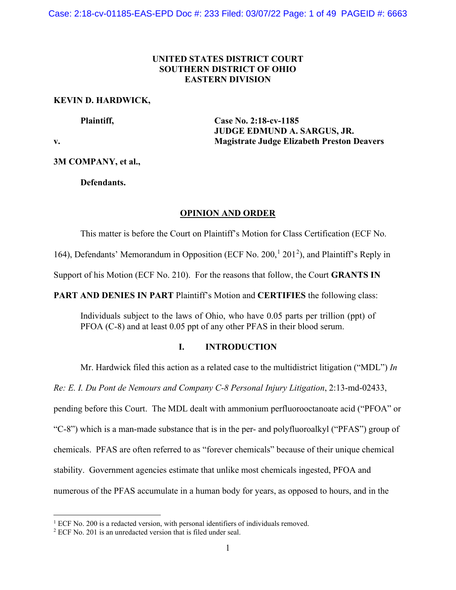# **UNITED STATES DISTRICT COURT SOUTHERN DISTRICT OF OHIO EASTERN DIVISION**

### **KEVIN D. HARDWICK,**

**Plaintiff, Case No. 2:18-cv-1185 JUDGE EDMUND A. SARGUS, JR. v. Magistrate Judge Elizabeth Preston Deavers**

**3M COMPANY, et al.,**

**Defendants.**

### **OPINION AND ORDER**

This matter is before the Court on Plaintiff's Motion for Class Certification (ECF No.

[1](#page-0-0)64), Defendants' Memorandum in Opposition (ECF No. [2](#page-0-1)00,<sup>1</sup> 201<sup>2</sup>), and Plaintiff's Reply in

Support of his Motion (ECF No. 210). For the reasons that follow, the Court **GRANTS IN** 

**PART AND DENIES IN PART** Plaintiff's Motion and **CERTIFIES** the following class:

Individuals subject to the laws of Ohio, who have 0.05 parts per trillion (ppt) of PFOA (C-8) and at least 0.05 ppt of any other PFAS in their blood serum.

### **I. INTRODUCTION**

Mr. Hardwick filed this action as a related case to the multidistrict litigation ("MDL") *In* 

*Re: E. I. Du Pont de Nemours and Company C-8 Personal Injury Litigation*, [2:13-md-02433,](https://ohsd-ecf.sso.dcn/cgi-bin/DktRpt.pl?162071)

pending before this Court. The MDL dealt with ammonium perfluorooctanoate acid ("PFOA" or

"C-8") which is a man-made substance that is in the per- and polyfluoroalkyl ("PFAS") group of

chemicals. PFAS are often referred to as "forever chemicals" because of their unique chemical

stability. Government agencies estimate that unlike most chemicals ingested, PFOA and

numerous of the PFAS accumulate in a human body for years, as opposed to hours, and in the

<span id="page-0-0"></span><sup>&</sup>lt;sup>1</sup> ECF No. 200 is a redacted version, with personal identifiers of individuals removed.

<span id="page-0-1"></span><sup>2</sup> ECF No. 201 is an unredacted version that is filed under seal.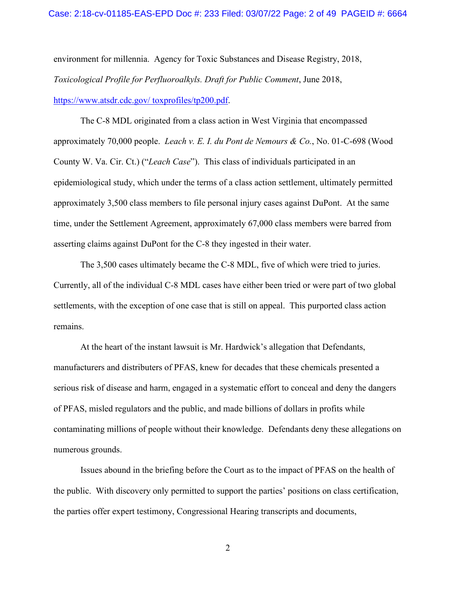environment for millennia. Agency for Toxic Substances and Disease Registry, 2018, *Toxicological Profile for Perfluoroalkyls. Draft for Public Comment*, June 2018, [https://www.atsdr.cdc.gov/ toxprofiles/tp200.pdf.](https://www.atsdr.cdc.gov/%20toxprofiles/tp200.pdf)

The C-8 MDL originated from a class action in West Virginia that encompassed approximately 70,000 people. *Leach v. E. I. du Pont de Nemours & Co.*, No. 01-C-698 (Wood County W. Va. Cir. Ct.) ("*Leach Case*"). This class of individuals participated in an epidemiological study, which under the terms of a class action settlement, ultimately permitted approximately 3,500 class members to file personal injury cases against DuPont. At the same time, under the Settlement Agreement, approximately 67,000 class members were barred from asserting claims against DuPont for the C-8 they ingested in their water.

The 3,500 cases ultimately became the C-8 MDL, five of which were tried to juries. Currently, all of the individual C-8 MDL cases have either been tried or were part of two global settlements, with the exception of one case that is still on appeal. This purported class action remains.

At the heart of the instant lawsuit is Mr. Hardwick's allegation that Defendants, manufacturers and distributers of PFAS, knew for decades that these chemicals presented a serious risk of disease and harm, engaged in a systematic effort to conceal and deny the dangers of PFAS, misled regulators and the public, and made billions of dollars in profits while contaminating millions of people without their knowledge. Defendants deny these allegations on numerous grounds.

Issues abound in the briefing before the Court as to the impact of PFAS on the health of the public. With discovery only permitted to support the parties' positions on class certification, the parties offer expert testimony, Congressional Hearing transcripts and documents,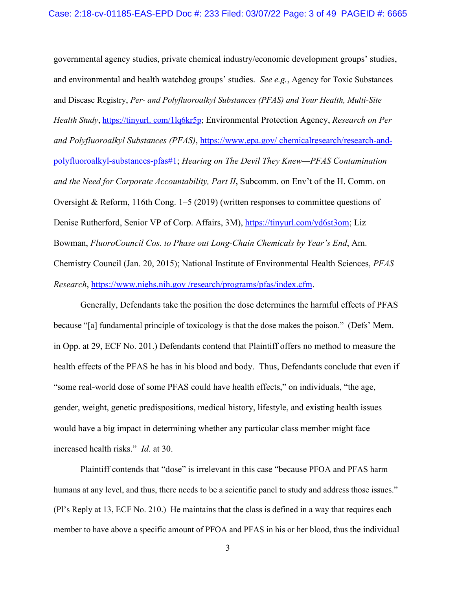governmental agency studies, private chemical industry/economic development groups' studies, and environmental and health watchdog groups' studies. *See e.g.*, Agency for Toxic Substances and Disease Registry, *Per- and Polyfluoroalkyl Substances (PFAS) and Your Health, Multi-Site Health Study*, https://tinyurl. com/1lq6kr5p; Environmental Protection Agency, *Research on Per and Polyfluoroalkyl Substances (PFAS)*, https://www.epa.gov/ [chemicalresearch/research-and](https://www.epa.gov/%20chemicalresearch/research-and-polyfluoroalkyl-substances-pfas#1)[polyfluoroalkyl-substances-pfas#1;](https://www.epa.gov/%20chemicalresearch/research-and-polyfluoroalkyl-substances-pfas#1) *Hearing on The Devil They Knew—PFAS Contamination and the Need for Corporate Accountability, Part II*, Subcomm. on Env't of the H. Comm. on Oversight & Reform, 116th Cong. 1–5 (2019) (written responses to committee questions of Denise Rutherford, Senior VP of Corp. Affairs, 3M), [https://tinyurl.com/yd6st3om;](https://tinyurl.com/yd6st3om) Liz Bowman, *FluoroCouncil Cos. to Phase out Long-Chain Chemicals by Year's End*, Am. Chemistry Council (Jan. 20, 2015); National Institute of Environmental Health Sciences, *PFAS Research*, https://www.niehs.nih.gov /research/programs/pfas/index.cfm.

Generally, Defendants take the position the dose determines the harmful effects of PFAS because "[a] fundamental principle of toxicology is that the dose makes the poison." (Defs' Mem. in Opp. at 29, ECF No. 201.) Defendants contend that Plaintiff offers no method to measure the health effects of the PFAS he has in his blood and body. Thus, Defendants conclude that even if "some real-world dose of some PFAS could have health effects," on individuals, "the age, gender, weight, genetic predispositions, medical history, lifestyle, and existing health issues would have a big impact in determining whether any particular class member might face increased health risks." *Id*. at 30.

Plaintiff contends that "dose" is irrelevant in this case "because PFOA and PFAS harm humans at any level, and thus, there needs to be a scientific panel to study and address those issues." (Pl's Reply at 13, ECF No. 210.) He maintains that the class is defined in a way that requires each member to have above a specific amount of PFOA and PFAS in his or her blood, thus the individual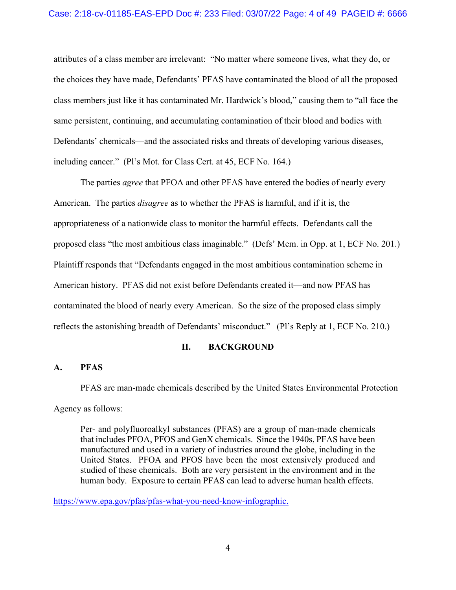attributes of a class member are irrelevant: "No matter where someone lives, what they do, or the choices they have made, Defendants' PFAS have contaminated the blood of all the proposed class members just like it has contaminated Mr. Hardwick's blood," causing them to "all face the same persistent, continuing, and accumulating contamination of their blood and bodies with Defendants' chemicals—and the associated risks and threats of developing various diseases, including cancer." (Pl's Mot. for Class Cert. at 45, ECF No. 164.)

The parties *agree* that PFOA and other PFAS have entered the bodies of nearly every American. The parties *disagree* as to whether the PFAS is harmful, and if it is, the appropriateness of a nationwide class to monitor the harmful effects. Defendants call the proposed class "the most ambitious class imaginable." (Defs' Mem. in Opp. at 1, ECF No. 201.) Plaintiff responds that "Defendants engaged in the most ambitious contamination scheme in American history. PFAS did not exist before Defendants created it—and now PFAS has contaminated the blood of nearly every American. So the size of the proposed class simply reflects the astonishing breadth of Defendants' misconduct." (Pl's Reply at 1, ECF No. 210.)

### **II. BACKGROUND**

### **A. PFAS**

PFAS are man-made chemicals described by the United States Environmental Protection

Agency as follows:

Per- and polyfluoroalkyl substances (PFAS) are a group of man-made chemicals that includes PFOA, PFOS and GenX chemicals. Since the 1940s, PFAS have been manufactured and used in a variety of industries around the globe, including in the United States. PFOA and PFOS have been the most extensively produced and studied of these chemicals. Both are very persistent in the environment and in the human body. Exposure to certain PFAS can lead to adverse human health effects.

[https://www.epa.gov/pfas/pfas-what-you-need-know-infographic.](https://www.epa.gov/pfas/pfas-what-you-need-know-infographic)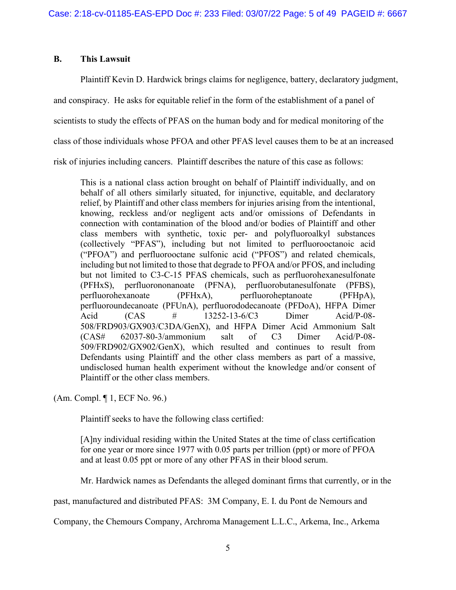# **B. This Lawsuit**

Plaintiff Kevin D. Hardwick brings claims for negligence, battery, declaratory judgment,

and conspiracy. He asks for equitable relief in the form of the establishment of a panel of

scientists to study the effects of PFAS on the human body and for medical monitoring of the

class of those individuals whose PFOA and other PFAS level causes them to be at an increased

risk of injuries including cancers. Plaintiff describes the nature of this case as follows:

This is a national class action brought on behalf of Plaintiff individually, and on behalf of all others similarly situated, for injunctive, equitable, and declaratory relief, by Plaintiff and other class members for injuries arising from the intentional, knowing, reckless and/or negligent acts and/or omissions of Defendants in connection with contamination of the blood and/or bodies of Plaintiff and other class members with synthetic, toxic per- and polyfluoroalkyl substances (collectively "PFAS"), including but not limited to perfluorooctanoic acid ("PFOA") and perfluorooctane sulfonic acid ("PFOS") and related chemicals, including but not limited to those that degrade to PFOA and/or PFOS, and including but not limited to C3-C-15 PFAS chemicals, such as perfluorohexanesulfonate (PFHxS), perfluorononanoate (PFNA), perfluorobutanesulfonate (PFBS), perfluorohexanoate (PFHxA), perfluoroheptanoate (PFHpA), perfluoroundecanoate (PFUnA), perfluorododecanoate (PFDoA), HFPA Dimer Acid (CAS # 13252-13-6/C3 Dimer Acid/P-08- 508/FRD903/GX903/C3DA/GenX), and HFPA Dimer Acid Ammonium Salt (CAS# 62037-80-3/ammonium salt of C3 Dimer Acid/P-08- 509/FRD902/GX902/GenX), which resulted and continues to result from Defendants using Plaintiff and the other class members as part of a massive, undisclosed human health experiment without the knowledge and/or consent of Plaintiff or the other class members.

(Am. Compl. ¶ 1, ECF No. 96.)

Plaintiff seeks to have the following class certified:

[A]ny individual residing within the United States at the time of class certification for one year or more since 1977 with 0.05 parts per trillion (ppt) or more of PFOA and at least 0.05 ppt or more of any other PFAS in their blood serum.

Mr. Hardwick names as Defendants the alleged dominant firms that currently, or in the

past, manufactured and distributed PFAS: 3M Company, E. I. du Pont de Nemours and

Company, the Chemours Company, Archroma Management L.L.C., Arkema, Inc., Arkema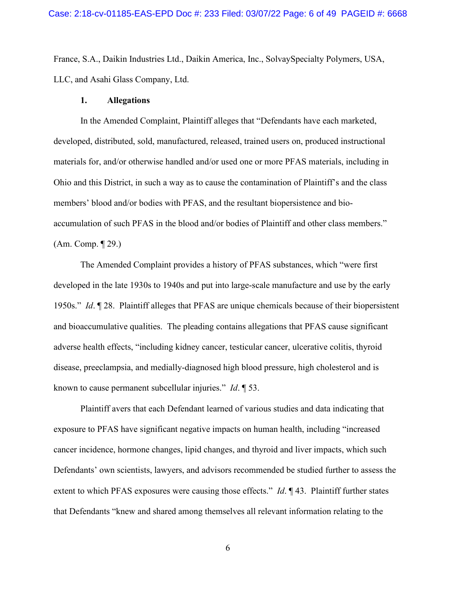France, S.A., Daikin Industries Ltd., Daikin America, Inc., SolvaySpecialty Polymers, USA, LLC, and Asahi Glass Company, Ltd.

#### **1. Allegations**

In the Amended Complaint, Plaintiff alleges that "Defendants have each marketed, developed, distributed, sold, manufactured, released, trained users on, produced instructional materials for, and/or otherwise handled and/or used one or more PFAS materials, including in Ohio and this District, in such a way as to cause the contamination of Plaintiff's and the class members' blood and/or bodies with PFAS, and the resultant biopersistence and bioaccumulation of such PFAS in the blood and/or bodies of Plaintiff and other class members." (Am. Comp. ¶ 29.)

The Amended Complaint provides a history of PFAS substances, which "were first developed in the late 1930s to 1940s and put into large-scale manufacture and use by the early 1950s." *Id*. ¶ 28. Plaintiff alleges that PFAS are unique chemicals because of their biopersistent and bioaccumulative qualities. The pleading contains allegations that PFAS cause significant adverse health effects, "including kidney cancer, testicular cancer, ulcerative colitis, thyroid disease, preeclampsia, and medially-diagnosed high blood pressure, high cholesterol and is known to cause permanent subcellular injuries." *Id*. ¶ 53.

Plaintiff avers that each Defendant learned of various studies and data indicating that exposure to PFAS have significant negative impacts on human health, including "increased cancer incidence, hormone changes, lipid changes, and thyroid and liver impacts, which such Defendants' own scientists, lawyers, and advisors recommended be studied further to assess the extent to which PFAS exposures were causing those effects." *Id*. ¶ 43. Plaintiff further states that Defendants "knew and shared among themselves all relevant information relating to the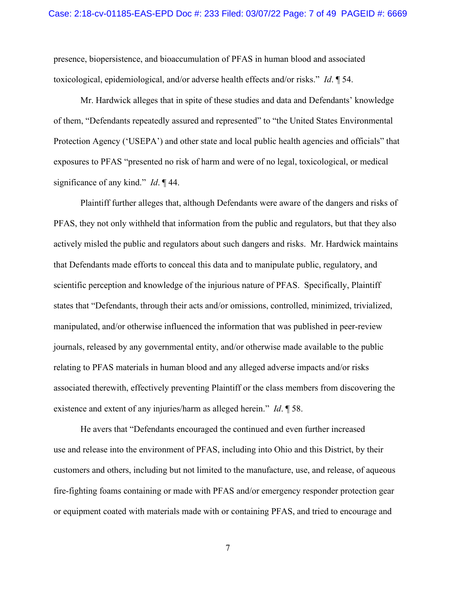presence, biopersistence, and bioaccumulation of PFAS in human blood and associated toxicological, epidemiological, and/or adverse health effects and/or risks." *Id*. ¶ 54.

Mr. Hardwick alleges that in spite of these studies and data and Defendants' knowledge of them, "Defendants repeatedly assured and represented" to "the United States Environmental Protection Agency ('USEPA') and other state and local public health agencies and officials" that exposures to PFAS "presented no risk of harm and were of no legal, toxicological, or medical significance of any kind." *Id*. ¶ 44.

Plaintiff further alleges that, although Defendants were aware of the dangers and risks of PFAS, they not only withheld that information from the public and regulators, but that they also actively misled the public and regulators about such dangers and risks. Mr. Hardwick maintains that Defendants made efforts to conceal this data and to manipulate public, regulatory, and scientific perception and knowledge of the injurious nature of PFAS. Specifically, Plaintiff states that "Defendants, through their acts and/or omissions, controlled, minimized, trivialized, manipulated, and/or otherwise influenced the information that was published in peer-review journals, released by any governmental entity, and/or otherwise made available to the public relating to PFAS materials in human blood and any alleged adverse impacts and/or risks associated therewith, effectively preventing Plaintiff or the class members from discovering the existence and extent of any injuries/harm as alleged herein." *Id*. ¶ 58.

He avers that "Defendants encouraged the continued and even further increased use and release into the environment of PFAS, including into Ohio and this District, by their customers and others, including but not limited to the manufacture, use, and release, of aqueous fire-fighting foams containing or made with PFAS and/or emergency responder protection gear or equipment coated with materials made with or containing PFAS, and tried to encourage and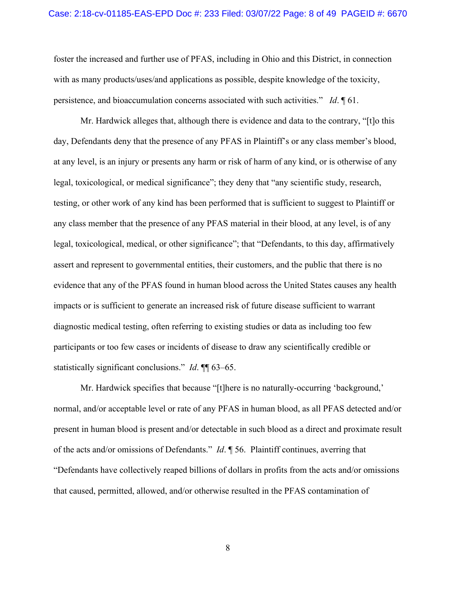#### Case: 2:18-cv-01185-EAS-EPD Doc #: 233 Filed: 03/07/22 Page: 8 of 49 PAGEID #: 6670

foster the increased and further use of PFAS, including in Ohio and this District, in connection with as many products/uses/and applications as possible, despite knowledge of the toxicity, persistence, and bioaccumulation concerns associated with such activities." *Id*. ¶ 61.

Mr. Hardwick alleges that, although there is evidence and data to the contrary, "[t]o this day, Defendants deny that the presence of any PFAS in Plaintiff's or any class member's blood, at any level, is an injury or presents any harm or risk of harm of any kind, or is otherwise of any legal, toxicological, or medical significance"; they deny that "any scientific study, research, testing, or other work of any kind has been performed that is sufficient to suggest to Plaintiff or any class member that the presence of any PFAS material in their blood, at any level, is of any legal, toxicological, medical, or other significance"; that "Defendants, to this day, affirmatively assert and represent to governmental entities, their customers, and the public that there is no evidence that any of the PFAS found in human blood across the United States causes any health impacts or is sufficient to generate an increased risk of future disease sufficient to warrant diagnostic medical testing, often referring to existing studies or data as including too few participants or too few cases or incidents of disease to draw any scientifically credible or statistically significant conclusions." *Id*. ¶¶ 63–65.

Mr. Hardwick specifies that because "[t]here is no naturally-occurring 'background,' normal, and/or acceptable level or rate of any PFAS in human blood, as all PFAS detected and/or present in human blood is present and/or detectable in such blood as a direct and proximate result of the acts and/or omissions of Defendants." *Id*. ¶ 56. Plaintiff continues, averring that "Defendants have collectively reaped billions of dollars in profits from the acts and/or omissions that caused, permitted, allowed, and/or otherwise resulted in the PFAS contamination of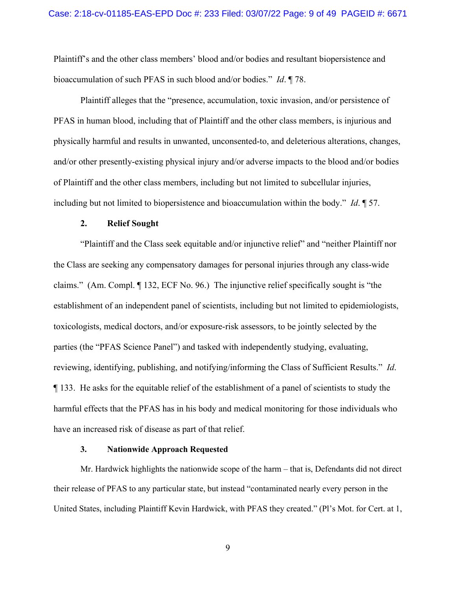Plaintiff's and the other class members' blood and/or bodies and resultant biopersistence and bioaccumulation of such PFAS in such blood and/or bodies." *Id*. ¶ 78.

Plaintiff alleges that the "presence, accumulation, toxic invasion, and/or persistence of PFAS in human blood, including that of Plaintiff and the other class members, is injurious and physically harmful and results in unwanted, unconsented-to, and deleterious alterations, changes, and/or other presently-existing physical injury and/or adverse impacts to the blood and/or bodies of Plaintiff and the other class members, including but not limited to subcellular injuries, including but not limited to biopersistence and bioaccumulation within the body." *Id*. ¶ 57.

#### **2. Relief Sought**

"Plaintiff and the Class seek equitable and/or injunctive relief" and "neither Plaintiff nor the Class are seeking any compensatory damages for personal injuries through any class-wide claims." (Am. Compl. ¶ 132, ECF No. 96.) The injunctive relief specifically sought is "the establishment of an independent panel of scientists, including but not limited to epidemiologists, toxicologists, medical doctors, and/or exposure-risk assessors, to be jointly selected by the parties (the "PFAS Science Panel") and tasked with independently studying, evaluating, reviewing, identifying, publishing, and notifying/informing the Class of Sufficient Results." *Id*. ¶ 133. He asks for the equitable relief of the establishment of a panel of scientists to study the harmful effects that the PFAS has in his body and medical monitoring for those individuals who have an increased risk of disease as part of that relief.

#### **3. Nationwide Approach Requested**

Mr. Hardwick highlights the nationwide scope of the harm – that is, Defendants did not direct their release of PFAS to any particular state, but instead "contaminated nearly every person in the United States, including Plaintiff Kevin Hardwick, with PFAS they created." (Pl's Mot. for Cert. at 1,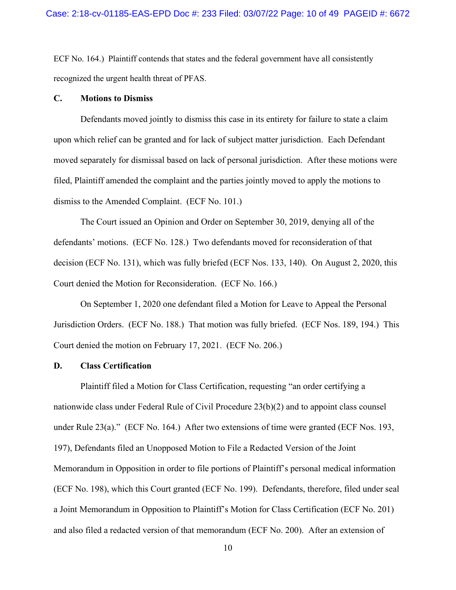ECF No. 164.) Plaintiff contends that states and the federal government have all consistently recognized the urgent health threat of PFAS.

### **C. Motions to Dismiss**

Defendants moved jointly to dismiss this case in its entirety for failure to state a claim upon which relief can be granted and for lack of subject matter jurisdiction. Each Defendant moved separately for dismissal based on lack of personal jurisdiction. After these motions were filed, Plaintiff amended the complaint and the parties jointly moved to apply the motions to dismiss to the Amended Complaint. (ECF No. 101.)

The Court issued an Opinion and Order on September 30, 2019, denying all of the defendants' motions. (ECF No. 128.) Two defendants moved for reconsideration of that decision (ECF No. 131), which was fully briefed (ECF Nos. 133, 140). On August 2, 2020, this Court denied the Motion for Reconsideration. (ECF No. 166.)

On September 1, 2020 one defendant filed a Motion for Leave to Appeal the Personal Jurisdiction Orders. (ECF No. 188.) That motion was fully briefed. (ECF Nos. 189, 194.) This Court denied the motion on February 17, 2021. (ECF No. 206.)

### **D. Class Certification**

Plaintiff filed a Motion for Class Certification, requesting "an order certifying a nationwide class under Federal Rule of Civil Procedure 23(b)(2) and to appoint class counsel under Rule 23(a)." (ECF No. 164.) After two extensions of time were granted (ECF Nos. 193, 197), Defendants filed an Unopposed Motion to File a Redacted Version of the Joint Memorandum in Opposition in order to file portions of Plaintiff's personal medical information (ECF No. 198), which this Court granted (ECF No. 199). Defendants, therefore, filed under seal a Joint Memorandum in Opposition to Plaintiff's Motion for Class Certification (ECF No. 201) and also filed a redacted version of that memorandum (ECF No. 200). After an extension of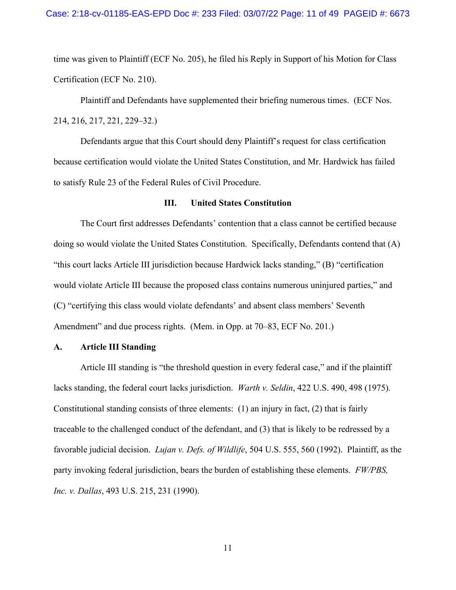time was given to Plaintiff (ECF No. 205), he filed his Reply in Support of his Motion for Class Certification (ECF No. 210).

Plaintiff and Defendants have supplemented their briefing numerous times. (ECF Nos. 214, 216, 217, 221, 229–32.)

Defendants argue that this Court should deny Plaintiff's request for class certification because certification would violate the United States Constitution, and Mr. Hardwick has failed to satisfy Rule 23 of the Federal Rules of Civil Procedure.

#### **III. United States Constitution**

The Court first addresses Defendants' contention that a class cannot be certified because doing so would violate the United States Constitution. Specifically, Defendants contend that (A) "this court lacks Article III jurisdiction because Hardwick lacks standing," (B) "certification would violate Article III because the proposed class contains numerous uninjured parties," and (C) "certifying this class would violate defendants' and absent class members' Seventh Amendment" and due process rights. (Mem. in Opp. at 70–83, ECF No. 201.)

### **A. Article III Standing**

Article III standing is "the threshold question in every federal case," and if the plaintiff lacks standing, the federal court lacks jurisdiction. *Warth v. Seldin*, 422 U.S. 490, 498 (1975). Constitutional standing consists of three elements:  $(1)$  an injury in fact,  $(2)$  that is fairly traceable to the challenged conduct of the defendant, and (3) that is likely to be redressed by a favorable judicial decision. *Lujan v. Defs. of Wildlife*, 504 U.S. 555, 560 (1992). Plaintiff, as the party invoking federal jurisdiction, bears the burden of establishing these elements. *FW/PBS, Inc. v. Dallas*, 493 U.S. 215, 231 (1990).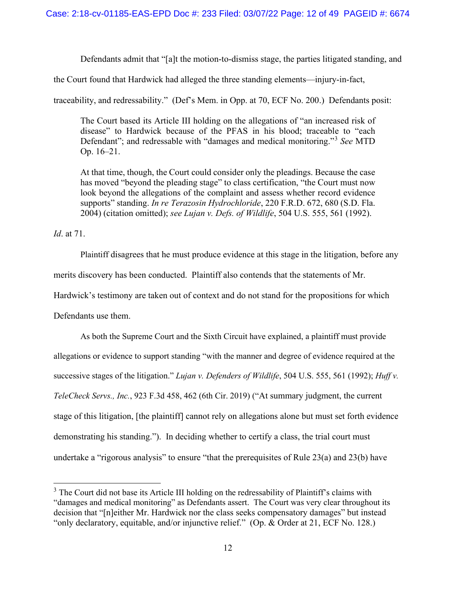Defendants admit that "[a]t the motion-to-dismiss stage, the parties litigated standing, and

the Court found that Hardwick had alleged the three standing elements—injury-in-fact,

traceability, and redressability." (Def's Mem. in Opp. at 70, ECF No. 200.) Defendants posit:

The Court based its Article III holding on the allegations of "an increased risk of disease" to Hardwick because of the PFAS in his blood; traceable to "each Defendant"; and redressable with "damages and medical monitoring."[3](#page-11-0) *See* MTD Op. 16–21.

At that time, though, the Court could consider only the pleadings. Because the case has moved "beyond the pleading stage" to class certification, "the Court must now look beyond the allegations of the complaint and assess whether record evidence supports" standing. *In re Terazosin Hydrochloride*, 220 F.R.D. 672, 680 (S.D. Fla. 2004) (citation omitted); *see Lujan v. Defs. of Wildlife*, 504 U.S. 555, 561 (1992).

*Id*. at 71.

Plaintiff disagrees that he must produce evidence at this stage in the litigation, before any merits discovery has been conducted. Plaintiff also contends that the statements of Mr. Hardwick's testimony are taken out of context and do not stand for the propositions for which Defendants use them.

As both the Supreme Court and the Sixth Circuit have explained, a plaintiff must provide allegations or evidence to support standing "with the manner and degree of evidence required at the successive stages of the litigation." *Lujan v. Defenders of Wildlife*, 504 U.S. 555, 561 (1992); *Huff v. TeleCheck Servs., Inc.*, 923 F.3d 458, 462 (6th Cir. 2019) ("At summary judgment, the current stage of this litigation, [the plaintiff] cannot rely on allegations alone but must set forth evidence demonstrating his standing."). In deciding whether to certify a class, the trial court must undertake a "rigorous analysis" to ensure "that the prerequisites of Rule 23(a) and 23(b) have

<span id="page-11-0"></span> $3$  The Court did not base its Article III holding on the redressability of Plaintiff's claims with "damages and medical monitoring" as Defendants assert. The Court was very clear throughout its decision that "[n]either Mr. Hardwick nor the class seeks compensatory damages" but instead "only declaratory, equitable, and/or injunctive relief." (Op. & Order at 21, ECF No. 128.)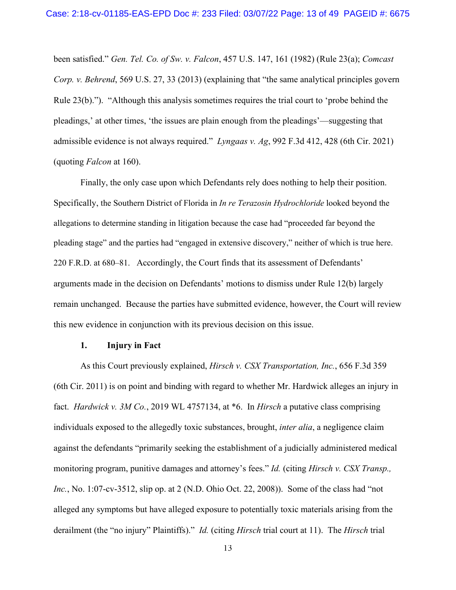been satisfied." *Gen. Tel. Co. of Sw. v. Falcon*, 457 U.S. 147, 161 (1982) (Rule 23(a); *Comcast Corp. v. Behrend*, 569 U.S. 27, 33 (2013) (explaining that "the same analytical principles govern Rule 23(b)."). "Although this analysis sometimes requires the trial court to 'probe behind the pleadings,' at other times, 'the issues are plain enough from the pleadings'—suggesting that admissible evidence is not always required." *Lyngaas v. Ag*, 992 F.3d 412, 428 (6th Cir. 2021) (quoting *Falcon* at 160).

Finally, the only case upon which Defendants rely does nothing to help their position. Specifically, the Southern District of Florida in *In re Terazosin Hydrochloride* looked beyond the allegations to determine standing in litigation because the case had "proceeded far beyond the pleading stage" and the parties had "engaged in extensive discovery," neither of which is true here. 220 F.R.D. at 680–81. Accordingly, the Court finds that its assessment of Defendants' arguments made in the decision on Defendants' motions to dismiss under Rule 12(b) largely remain unchanged. Because the parties have submitted evidence, however, the Court will review this new evidence in conjunction with its previous decision on this issue.

### **1. Injury in Fact**

As this Court previously explained, *Hirsch v. CSX Transportation, Inc.*, 656 F.3d 359 (6th Cir. 2011) is on point and binding with regard to whether Mr. Hardwick alleges an injury in fact. *Hardwick v. 3M Co.*, 2019 WL 4757134, at \*6. In *Hirsch* a putative class comprising individuals exposed to the allegedly toxic substances, brought, *inter alia*, a negligence claim against the defendants "primarily seeking the establishment of a judicially administered medical monitoring program, punitive damages and attorney's fees." *Id.* (citing *Hirsch v. CSX Transp., Inc.*, No. 1:07-cv-3512, slip op. at 2 (N.D. Ohio Oct. 22, 2008)). Some of the class had "not alleged any symptoms but have alleged exposure to potentially toxic materials arising from the derailment (the "no injury" Plaintiffs)." *Id.* (citing *Hirsch* trial court at 11). The *Hirsch* trial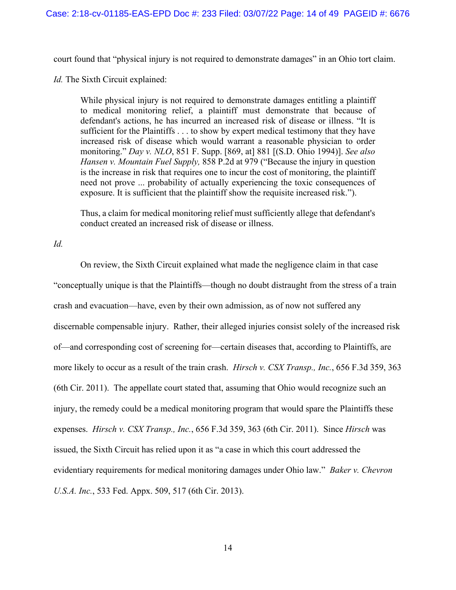court found that "physical injury is not required to demonstrate damages" in an Ohio tort claim.

*Id.* The Sixth Circuit explained:

While physical injury is not required to demonstrate damages entitling a plaintiff to medical monitoring relief, a plaintiff must demonstrate that because of defendant's actions, he has incurred an increased risk of disease or illness. "It is sufficient for the Plaintiffs . . . to show by expert medical testimony that they have increased risk of disease which would warrant a reasonable physician to order monitoring." *Day v. NLO*, 851 F. Supp. [869, at] 881 [(S.D. Ohio 1994)]. *See also Hansen v. Mountain Fuel Supply,* 858 P.2d at 979 ("Because the injury in question is the increase in risk that requires one to incur the cost of monitoring, the plaintiff need not prove ... probability of actually experiencing the toxic consequences of exposure. It is sufficient that the plaintiff show the requisite increased risk.").

Thus, a claim for medical monitoring relief must sufficiently allege that defendant's conduct created an increased risk of disease or illness.

*Id.*

On review, the Sixth Circuit explained what made the negligence claim in that case "conceptually unique is that the Plaintiffs—though no doubt distraught from the stress of a train crash and evacuation—have, even by their own admission, as of now not suffered any discernable compensable injury. Rather, their alleged injuries consist solely of the increased risk of—and corresponding cost of screening for—certain diseases that, according to Plaintiffs, are more likely to occur as a result of the train crash. *Hirsch v. CSX Transp., Inc.*, 656 F.3d 359, 363 (6th Cir. 2011). The appellate court stated that, assuming that Ohio would recognize such an injury, the remedy could be a medical monitoring program that would spare the Plaintiffs these expenses. *Hirsch v. CSX Transp., Inc.*, 656 F.3d 359, 363 (6th Cir. 2011). Since *Hirsch* was issued, the Sixth Circuit has relied upon it as "a case in which this court addressed the evidentiary requirements for medical monitoring damages under Ohio law." *Baker v. Chevron U.S.A. Inc.*, 533 Fed. Appx. 509, 517 (6th Cir. 2013).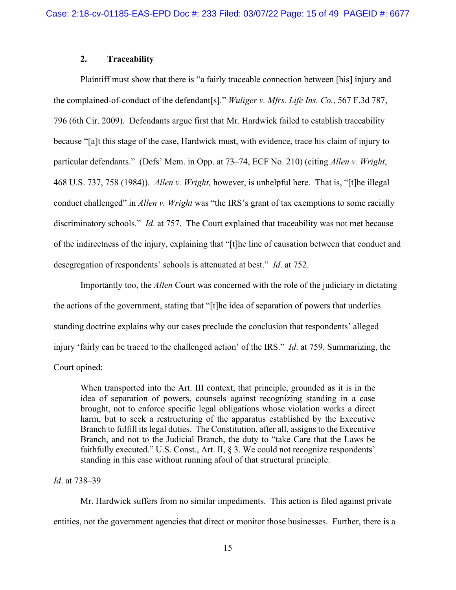### **2. Traceability**

Plaintiff must show that there is "a fairly traceable connection between [his] injury and the complained-of-conduct of the defendant[s]." *Wuliger v. Mfrs. Life Ins. Co.*, 567 F.3d 787, 796 (6th Cir. 2009). Defendants argue first that Mr. Hardwick failed to establish traceability because "[a]t this stage of the case, Hardwick must, with evidence, trace his claim of injury to particular defendants." (Defs' Mem. in Opp. at 73–74, ECF No. 210) (citing *Allen v. Wright*, 468 U.S. 737, 758 (1984)). *Allen v. Wright*, however, is unhelpful here. That is, "[t]he illegal conduct challenged" in *Allen v. Wright* was "the IRS's grant of tax exemptions to some racially discriminatory schools." *Id*. at 757. The Court explained that traceability was not met because of the indirectness of the injury, explaining that "[t]he line of causation between that conduct and desegregation of respondents' schools is attenuated at best." *Id*. at 752.

Importantly too, the *Allen* Court was concerned with the role of the judiciary in dictating the actions of the government, stating that "[t]he idea of separation of powers that underlies standing doctrine explains why our cases preclude the conclusion that respondents' alleged injury 'fairly can be traced to the challenged action' of the IRS." *Id*. at 759. Summarizing, the Court opined:

When transported into the Art. III context, that principle, grounded as it is in the idea of separation of powers, counsels against recognizing standing in a case brought, not to enforce specific legal obligations whose violation works a direct harm, but to seek a restructuring of the apparatus established by the Executive Branch to fulfill its legal duties. The Constitution, after all, assigns to the Executive Branch, and not to the Judicial Branch, the duty to "take Care that the Laws be faithfully executed." U.S. Const., Art. II, § 3. We could not recognize respondents' standing in this case without running afoul of that structural principle.

#### *Id*. at 738–39

Mr. Hardwick suffers from no similar impediments. This action is filed against private entities, not the government agencies that direct or monitor those businesses. Further, there is a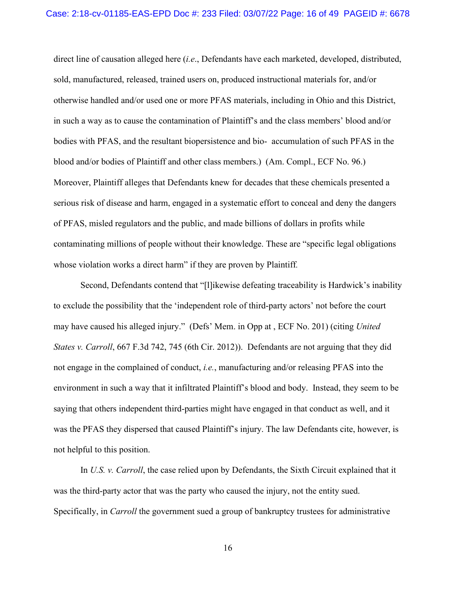direct line of causation alleged here (*i.e*., Defendants have each marketed, developed, distributed, sold, manufactured, released, trained users on, produced instructional materials for, and/or otherwise handled and/or used one or more PFAS materials, including in Ohio and this District, in such a way as to cause the contamination of Plaintiff's and the class members' blood and/or bodies with PFAS, and the resultant biopersistence and bio- accumulation of such PFAS in the blood and/or bodies of Plaintiff and other class members.) (Am. Compl., ECF No. 96.) Moreover, Plaintiff alleges that Defendants knew for decades that these chemicals presented a serious risk of disease and harm, engaged in a systematic effort to conceal and deny the dangers of PFAS, misled regulators and the public, and made billions of dollars in profits while contaminating millions of people without their knowledge. These are "specific legal obligations whose violation works a direct harm" if they are proven by Plaintiff*.* 

Second, Defendants contend that "[l]ikewise defeating traceability is Hardwick's inability to exclude the possibility that the 'independent role of third-party actors' not before the court may have caused his alleged injury." (Defs' Mem. in Opp at , ECF No. 201) (citing *United States v. Carroll*, 667 F.3d 742, 745 (6th Cir. 2012)). Defendants are not arguing that they did not engage in the complained of conduct, *i.e.*, manufacturing and/or releasing PFAS into the environment in such a way that it infiltrated Plaintiff's blood and body. Instead, they seem to be saying that others independent third-parties might have engaged in that conduct as well, and it was the PFAS they dispersed that caused Plaintiff's injury. The law Defendants cite, however, is not helpful to this position.

In *U.S. v. Carroll*, the case relied upon by Defendants, the Sixth Circuit explained that it was the third-party actor that was the party who caused the injury, not the entity sued. Specifically, in *Carroll* the government sued a group of bankruptcy trustees for administrative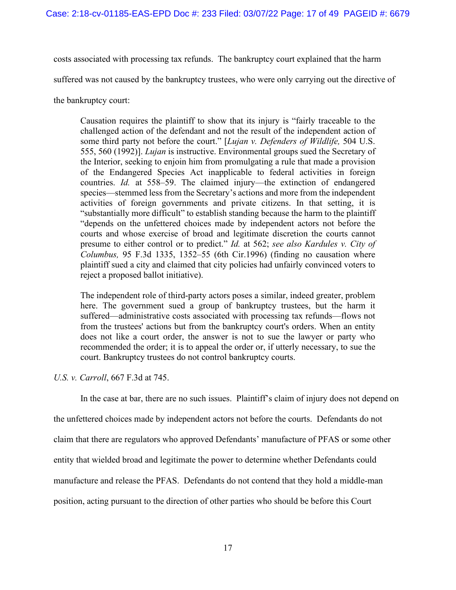costs associated with processing tax refunds. The bankruptcy court explained that the harm

suffered was not caused by the bankruptcy trustees, who were only carrying out the directive of

the bankruptcy court:

Causation requires the plaintiff to show that its injury is "fairly traceable to the challenged action of the defendant and not the result of the independent action of some third party not before the court." [*Lujan v. Defenders of Wildlife,* 504 U.S. 555, 560 (1992)]. *Lujan* is instructive. Environmental groups sued the Secretary of the Interior, seeking to enjoin him from promulgating a rule that made a provision of the Endangered Species Act inapplicable to federal activities in foreign countries. *Id.* at 558–59. The claimed injury—the extinction of endangered species—stemmed less from the Secretary's actions and more from the independent activities of foreign governments and private citizens. In that setting, it is "substantially more difficult" to establish standing because the harm to the plaintiff "depends on the unfettered choices made by independent actors not before the courts and whose exercise of broad and legitimate discretion the courts cannot presume to either control or to predict." *Id.* at 562; *see also Kardules v. City of Columbus,* 95 F.3d 1335, 1352–55 (6th Cir.1996) (finding no causation where plaintiff sued a city and claimed that city policies had unfairly convinced voters to reject a proposed ballot initiative).

The independent role of third-party actors poses a similar, indeed greater, problem here. The government sued a group of bankruptcy trustees, but the harm it suffered—administrative costs associated with processing tax refunds—flows not from the trustees' actions but from the bankruptcy court's orders. When an entity does not like a court order, the answer is not to sue the lawyer or party who recommended the order; it is to appeal the order or, if utterly necessary, to sue the court. Bankruptcy trustees do not control bankruptcy courts.

# *U.S. v. Carroll*, 667 F.3d at 745.

In the case at bar, there are no such issues. Plaintiff's claim of injury does not depend on

the unfettered choices made by independent actors not before the courts. Defendants do not claim that there are regulators who approved Defendants' manufacture of PFAS or some other entity that wielded broad and legitimate the power to determine whether Defendants could manufacture and release the PFAS. Defendants do not contend that they hold a middle-man position, acting pursuant to the direction of other parties who should be before this Court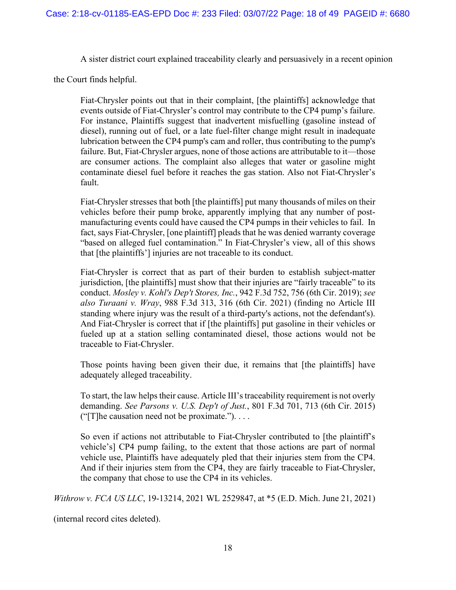A sister district court explained traceability clearly and persuasively in a recent opinion

the Court finds helpful.

Fiat-Chrysler points out that in their complaint, [the plaintiffs] acknowledge that events outside of Fiat-Chrysler's control may contribute to the CP4 pump's failure. For instance, Plaintiffs suggest that inadvertent misfuelling (gasoline instead of diesel), running out of fuel, or a late fuel-filter change might result in inadequate lubrication between the CP4 pump's cam and roller, thus contributing to the pump's failure. But, Fiat-Chrysler argues, none of those actions are attributable to it—those are consumer actions. The complaint also alleges that water or gasoline might contaminate diesel fuel before it reaches the gas station. Also not Fiat-Chrysler's fault.

Fiat-Chrysler stresses that both [the plaintiffs] put many thousands of miles on their vehicles before their pump broke, apparently implying that any number of postmanufacturing events could have caused the CP4 pumps in their vehicles to fail. In fact, says Fiat-Chrysler, [one plaintiff] pleads that he was denied warranty coverage "based on alleged fuel contamination." In Fiat-Chrysler's view, all of this shows that [the plaintiffs'] injuries are not traceable to its conduct.

Fiat-Chrysler is correct that as part of their burden to establish subject-matter jurisdiction, [the plaintiffs] must show that their injuries are "fairly traceable" to its conduct. *Mosley v. Kohl's Dep't Stores, Inc.*, 942 F.3d 752, 756 (6th Cir. 2019); *see also Turaani v. Wray*, 988 F.3d 313, 316 (6th Cir. 2021) (finding no Article III standing where injury was the result of a third-party's actions, not the defendant's). And Fiat-Chrysler is correct that if [the plaintiffs] put gasoline in their vehicles or fueled up at a station selling contaminated diesel, those actions would not be traceable to Fiat-Chrysler.

Those points having been given their due, it remains that [the plaintiffs] have adequately alleged traceability.

To start, the law helps their cause. Article III's traceability requirement is not overly demanding. *See Parsons v. U.S. Dep't of Just.*, 801 F.3d 701, 713 (6th Cir. 2015) (" $[T]$ he causation need not be proximate.")....

So even if actions not attributable to Fiat-Chrysler contributed to [the plaintiff's vehicle's] CP4 pump failing, to the extent that those actions are part of normal vehicle use, Plaintiffs have adequately pled that their injuries stem from the CP4. And if their injuries stem from the CP4, they are fairly traceable to Fiat-Chrysler, the company that chose to use the CP4 in its vehicles.

*Withrow v. FCA US LLC*, 19-13214, 2021 WL 2529847, at \*5 (E.D. Mich. June 21, 2021)

(internal record cites deleted).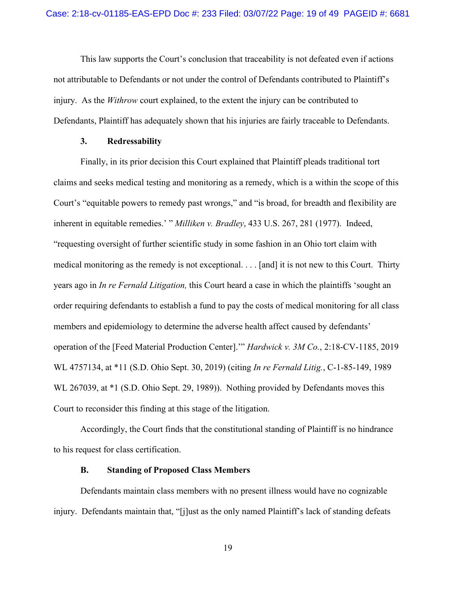This law supports the Court's conclusion that traceability is not defeated even if actions not attributable to Defendants or not under the control of Defendants contributed to Plaintiff's injury. As the *Withrow* court explained, to the extent the injury can be contributed to Defendants, Plaintiff has adequately shown that his injuries are fairly traceable to Defendants.

### **3. Redressability**

Finally, in its prior decision this Court explained that Plaintiff pleads traditional tort claims and seeks medical testing and monitoring as a remedy, which is a within the scope of this Court's "equitable powers to remedy past wrongs," and "is broad, for breadth and flexibility are inherent in equitable remedies.' " *Milliken v. Bradley*, 433 U.S. 267, 281 (1977). Indeed, "requesting oversight of further scientific study in some fashion in an Ohio tort claim with medical monitoring as the remedy is not exceptional. . . . [and] it is not new to this Court. Thirty years ago in *In re Fernald Litigation,* this Court heard a case in which the plaintiffs 'sought an order requiring defendants to establish a fund to pay the costs of medical monitoring for all class members and epidemiology to determine the adverse health affect caused by defendants' operation of the [Feed Material Production Center].'" *Hardwick v. 3M Co.*, 2:18-CV-1185, 2019 WL 4757134, at \*11 (S.D. Ohio Sept. 30, 2019) (citing *In re Fernald Litig.*, C-1-85-149, 1989 WL 267039, at \*1 (S.D. Ohio Sept. 29, 1989)).Nothing provided by Defendants moves this Court to reconsider this finding at this stage of the litigation.

Accordingly, the Court finds that the constitutional standing of Plaintiff is no hindrance to his request for class certification.

### **B. Standing of Proposed Class Members**

Defendants maintain class members with no present illness would have no cognizable injury. Defendants maintain that, "[j]ust as the only named Plaintiff's lack of standing defeats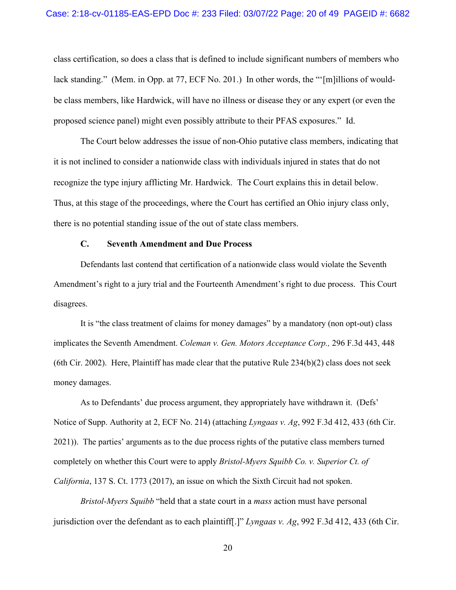class certification, so does a class that is defined to include significant numbers of members who lack standing." (Mem. in Opp. at 77, ECF No. 201.) In other words, the "'[m]illions of wouldbe class members, like Hardwick, will have no illness or disease they or any expert (or even the proposed science panel) might even possibly attribute to their PFAS exposures." Id.

The Court below addresses the issue of non-Ohio putative class members, indicating that it is not inclined to consider a nationwide class with individuals injured in states that do not recognize the type injury afflicting Mr. Hardwick. The Court explains this in detail below. Thus, at this stage of the proceedings, where the Court has certified an Ohio injury class only, there is no potential standing issue of the out of state class members.

# **C. Seventh Amendment and Due Process**

Defendants last contend that certification of a nationwide class would violate the Seventh Amendment's right to a jury trial and the Fourteenth Amendment's right to due process. This Court disagrees.

It is "the class treatment of claims for money damages" by a mandatory (non opt-out) class implicates the Seventh Amendment. *Coleman v. Gen. Motors Acceptance Corp.,* 296 F.3d 443, 448 (6th Cir. 2002). Here, Plaintiff has made clear that the putative Rule  $234(b)(2)$  class does not seek money damages.

As to Defendants' due process argument, they appropriately have withdrawn it. (Defs' Notice of Supp. Authority at 2, ECF No. 214) (attaching *Lyngaas v. Ag*, 992 F.3d 412, 433 (6th Cir. 2021)). The parties' arguments as to the due process rights of the putative class members turned completely on whether this Court were to apply *Bristol-Myers Squibb Co. v. Superior Ct. of California*, 137 S. Ct. 1773 (2017), an issue on which the Sixth Circuit had not spoken.

*Bristol-Myers Squibb* "held that a state court in a *mass* action must have personal jurisdiction over the defendant as to each plaintiff[.]" *Lyngaas v. Ag*, 992 F.3d 412, 433 (6th Cir.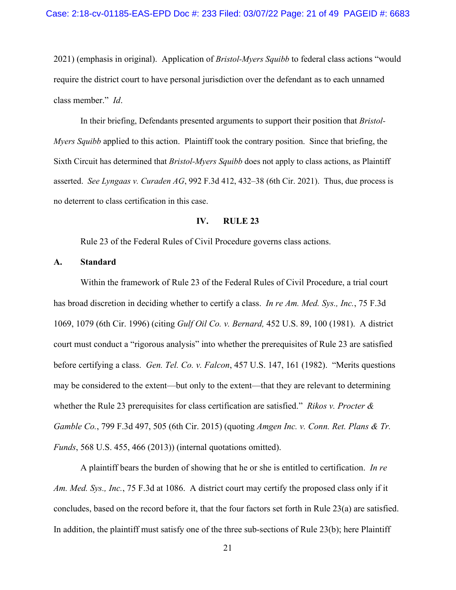2021) (emphasis in original). Application of *Bristol-Myers Squibb* to federal class actions "would require the district court to have personal jurisdiction over the defendant as to each unnamed class member." *Id*.

In their briefing, Defendants presented arguments to support their position that *Bristol-Myers Squibb* applied to this action. Plaintiff took the contrary position. Since that briefing, the Sixth Circuit has determined that *Bristol-Myers Squibb* does not apply to class actions, as Plaintiff asserted. *See Lyngaas v. Curaden AG*, 992 F.3d 412, 432–38 (6th Cir. 2021). Thus, due process is no deterrent to class certification in this case.

# **IV. RULE 23**

Rule 23 of the Federal Rules of Civil Procedure governs class actions.

### **A. Standard**

Within the framework of Rule 23 of the Federal Rules of Civil Procedure, a trial court has broad discretion in deciding whether to certify a class. *In re Am. Med. Sys., Inc.*, 75 F.3d 1069, 1079 (6th Cir. 1996) (citing *Gulf Oil Co. v. Bernard,* 452 U.S. 89, 100 (1981). A district court must conduct a "rigorous analysis" into whether the prerequisites of Rule 23 are satisfied before certifying a class. *Gen. Tel. Co. v. Falcon*, 457 U.S. 147, 161 (1982). "Merits questions may be considered to the extent—but only to the extent—that they are relevant to determining whether the Rule 23 prerequisites for class certification are satisfied." *Rikos v. Procter & Gamble Co.*, 799 F.3d 497, 505 (6th Cir. 2015) (quoting *Amgen Inc. v. Conn. Ret. Plans & Tr. Funds*, 568 U.S. 455, 466 (2013)) (internal quotations omitted).

A plaintiff bears the burden of showing that he or she is entitled to certification. *In re Am. Med. Sys., Inc.*, 75 F.3d at 1086. A district court may certify the proposed class only if it concludes, based on the record before it, that the four factors set forth in Rule 23(a) are satisfied. In addition, the plaintiff must satisfy one of the three sub-sections of [Rule 23\(b\);](https://1.next.westlaw.com/Link/Document/FullText?findType=L&pubNum=1004365&cite=USFRCPR23&originatingDoc=Ie0d706bc7b6311dd9876f446780b7bdc&refType=LQ&originationContext=document&transitionType=DocumentItem&contextData=(sc.DocLink)) here Plaintiff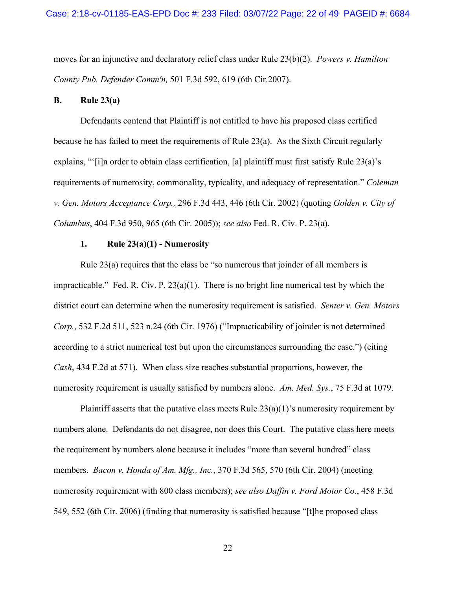moves for an injunctive and declaratory relief class under Rule 23(b)(2). *[Powers v. Hamilton](https://1.next.westlaw.com/Link/Document/FullText?findType=Y&serNum=2013073505&pubNum=506&originatingDoc=Ie0d706bc7b6311dd9876f446780b7bdc&refType=RP&fi=co_pp_sp_506_619&originationContext=document&transitionType=DocumentItem&contextData=(sc.DocLink)#co_pp_sp_506_619)  County Pub. Defender Comm'n,* [501 F.3d 592, 619 \(6th Cir.2007\).](https://1.next.westlaw.com/Link/Document/FullText?findType=Y&serNum=2013073505&pubNum=506&originatingDoc=Ie0d706bc7b6311dd9876f446780b7bdc&refType=RP&fi=co_pp_sp_506_619&originationContext=document&transitionType=DocumentItem&contextData=(sc.DocLink)#co_pp_sp_506_619)

### **B. Rule 23(a)**

Defendants contend that Plaintiff is not entitled to have his proposed class certified because he has failed to meet the requirements of Rule 23(a). As the Sixth Circuit regularly explains, "'[i]n order to obtain class certification, [a] plaintiff must first satisfy Rule 23(a)'s requirements of numerosity, commonality, typicality, and adequacy of representation." *Coleman v. Gen. Motors Acceptance Corp.,* 296 F.3d 443, 446 (6th Cir. 2002) (quoting *Golden v. City of Columbus*, 404 F.3d 950, 965 (6th Cir. 2005)); *see also* Fed. R. Civ. P. 23(a).

### **1. Rule 23(a)(1) - Numerosity**

Rule 23(a) requires that the class be "so numerous that joinder of all members is impracticable." Fed. R. Civ. P.  $23(a)(1)$ . There is no bright line numerical test by which the district court can determine when the numerosity requirement is satisfied. *Senter v. Gen. Motors Corp.*, 532 F.2d 511, 523 n.24 (6th Cir. 1976) ("Impracticability of joinder is not determined according to a strict numerical test but upon the circumstances surrounding the case.") (citing *Cash*, 434 F.2d at 571). When class size reaches substantial proportions, however, the numerosity requirement is usually satisfied by numbers alone. *Am. Med. Sys.*, 75 F.3d at 1079.

Plaintiff asserts that the putative class meets Rule  $23(a)(1)$ 's numerosity requirement by numbers alone. Defendants do not disagree, nor does this Court. The putative class here meets the requirement by numbers alone because it includes "more than several hundred" class members. *Bacon v. Honda of Am. Mfg., Inc.*, 370 F.3d 565, 570 (6th Cir. 2004) (meeting numerosity requirement with 800 class members); *see also Daffin v. Ford Motor Co.*, 458 F.3d 549, 552 (6th Cir. 2006) (finding that numerosity is satisfied because "[t]he proposed class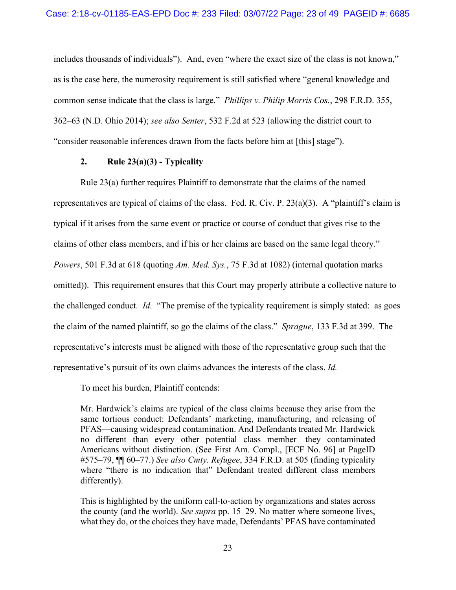includes thousands of individuals"). And, even "where the exact size of the class is not known," as is the case here, the numerosity requirement is still satisfied where "general knowledge and common sense indicate that the class is large." *Phillips v. Philip Morris Cos.*, 298 F.R.D. 355, 362–63 (N.D. Ohio 2014); *see also Senter*, 532 F.2d at 523 (allowing the district court to "consider reasonable inferences drawn from the facts before him at [this] stage").

### **2. Rule 23(a)(3) - Typicality**

Rule 23(a) further requires Plaintiff to demonstrate that the claims of the named representatives are typical of claims of the class. Fed. R. Civ. P. 23(a)(3). A "plaintiff's claim is typical if it arises from the same event or practice or course of conduct that gives rise to the claims of other class members, and if his or her claims are based on the same legal theory." *Powers*, 501 F.3d at 618 (quoting *Am. Med. Sys.*, 75 F.3d at 1082) (internal quotation marks omitted)). This requirement ensures that this Court may properly attribute a collective nature to the challenged conduct. *Id.* "The premise of the typicality requirement is simply stated: as goes the claim of the named plaintiff, so go the claims of the class." *Sprague*, 133 F.3d at 399. The representative's interests must be aligned with those of the representative group such that the representative's pursuit of its own claims advances the interests of the class. *Id.*

To meet his burden, Plaintiff contends:

Mr. Hardwick's claims are typical of the class claims because they arise from the same tortious conduct: Defendants' marketing, manufacturing, and releasing of PFAS—causing widespread contamination. And Defendants treated Mr. Hardwick no different than every other potential class member—they contaminated Americans without distinction. (See First Am. Compl., [ECF No. 96] at PageID #575–79, ¶¶ 60–77.) *See also Cmty. Refugee*, 334 F.R.D. at 505 (finding typicality where "there is no indication that" Defendant treated different class members differently).

This is highlighted by the uniform call-to-action by organizations and states across the county (and the world). *See supra* pp. 15–29. No matter where someone lives, what they do, or the choices they have made, Defendants' PFAS have contaminated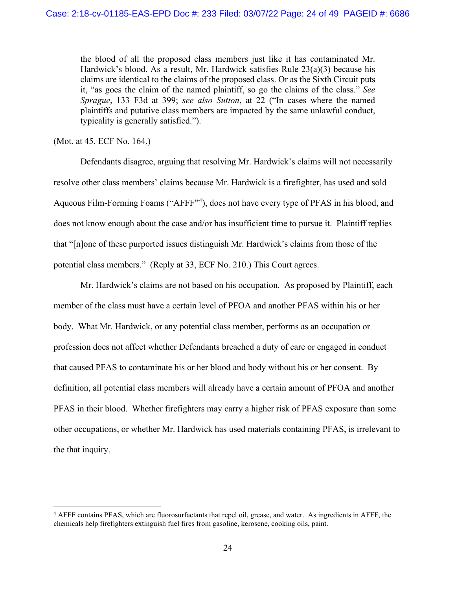the blood of all the proposed class members just like it has contaminated Mr. Hardwick's blood. As a result, Mr. Hardwick satisfies Rule 23(a)(3) because his claims are identical to the claims of the proposed class. Or as the Sixth Circuit puts it, "as goes the claim of the named plaintiff, so go the claims of the class." *See Sprague*, 133 F3d at 399; *see also Sutton*, at 22 ("In cases where the named plaintiffs and putative class members are impacted by the same unlawful conduct, typicality is generally satisfied.").

(Mot. at 45, ECF No. 164.)

Defendants disagree, arguing that resolving Mr. Hardwick's claims will not necessarily resolve other class members' claims because Mr. Hardwick is a firefighter, has used and sold Aqueous Film-Forming Foams ("AFFF"<sup>[4](#page-23-0)</sup>), does not have every type of PFAS in his blood, and does not know enough about the case and/or has insufficient time to pursue it. Plaintiff replies that "[n]one of these purported issues distinguish Mr. Hardwick's claims from those of the potential class members." (Reply at 33, ECF No. 210.) This Court agrees.

Mr. Hardwick's claims are not based on his occupation. As proposed by Plaintiff, each member of the class must have a certain level of PFOA and another PFAS within his or her body. What Mr. Hardwick, or any potential class member, performs as an occupation or profession does not affect whether Defendants breached a duty of care or engaged in conduct that caused PFAS to contaminate his or her blood and body without his or her consent. By definition, all potential class members will already have a certain amount of PFOA and another PFAS in their blood. Whether firefighters may carry a higher risk of PFAS exposure than some other occupations, or whether Mr. Hardwick has used materials containing PFAS, is irrelevant to the that inquiry.

<span id="page-23-0"></span><sup>4</sup> AFFF contains PFAS, which are fluorosurfactants that repel oil, grease, and water. As ingredients in AFFF, the chemicals help firefighters [extinguish fuel fires](https://www.statesystemsinc.com/blog/fire-extinguisher-types/) from gasoline, kerosene, cooking oils, paint.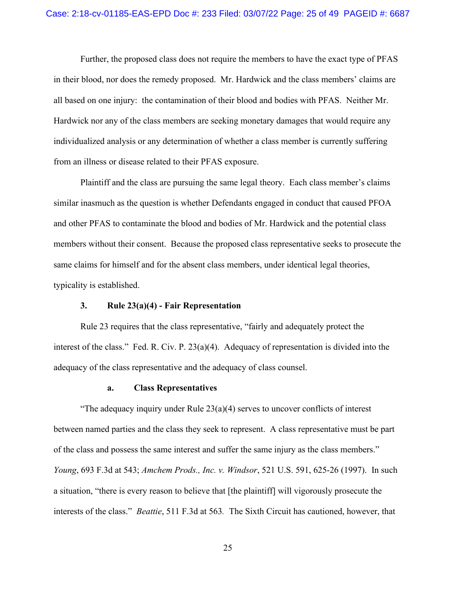Further, the proposed class does not require the members to have the exact type of PFAS in their blood, nor does the remedy proposed. Mr. Hardwick and the class members' claims are all based on one injury: the contamination of their blood and bodies with PFAS. Neither Mr. Hardwick nor any of the class members are seeking monetary damages that would require any individualized analysis or any determination of whether a class member is currently suffering from an illness or disease related to their PFAS exposure.

Plaintiff and the class are pursuing the same legal theory. Each class member's claims similar inasmuch as the question is whether Defendants engaged in conduct that caused PFOA and other PFAS to contaminate the blood and bodies of Mr. Hardwick and the potential class members without their consent. Because the proposed class representative seeks to prosecute the same claims for himself and for the absent class members, under identical legal theories, typicality is established.

#### **3. Rule 23(a)(4) - Fair Representation**

Rule 23 requires that the class representative, "fairly and adequately protect the interest of the class." Fed. R. Civ. P. 23(a)(4). Adequacy of representation is divided into the adequacy of the class representative and the adequacy of class counsel.

#### **a. Class Representatives**

"The adequacy inquiry under Rule  $23(a)(4)$  serves to uncover conflicts of interest between named parties and the class they seek to represent. A class representative must be part of the class and possess the same interest and suffer the same injury as the class members." *Young*, 693 F.3d at 543; *Amchem Prods., Inc. v. Windsor*, 521 U.S. 591, 625-26 (1997). In such a situation, "there is every reason to believe that [the plaintiff] will vigorously prosecute the interests of the class." *Beattie*, 511 F.3d at 563*.* The Sixth Circuit has cautioned, however, that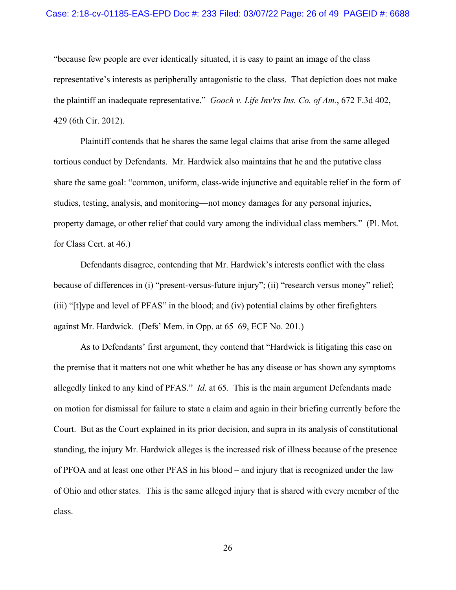#### Case: 2:18-cv-01185-EAS-EPD Doc #: 233 Filed: 03/07/22 Page: 26 of 49 PAGEID #: 6688

"because few people are ever identically situated, it is easy to paint an image of the class representative's interests as peripherally antagonistic to the class. That depiction does not make the plaintiff an inadequate representative." *Gooch v. Life Inv'rs Ins. Co. of Am.*, 672 F.3d 402, 429 (6th Cir. 2012).

Plaintiff contends that he shares the same legal claims that arise from the same alleged tortious conduct by Defendants. Mr. Hardwick also maintains that he and the putative class share the same goal: "common, uniform, class-wide injunctive and equitable relief in the form of studies, testing, analysis, and monitoring—not money damages for any personal injuries, property damage, or other relief that could vary among the individual class members." (Pl. Mot. for Class Cert. at 46.)

Defendants disagree, contending that Mr. Hardwick's interests conflict with the class because of differences in (i) "present-versus-future injury"; (ii) "research versus money" relief; (iii) "[t]ype and level of PFAS" in the blood; and (iv) potential claims by other firefighters against Mr. Hardwick. (Defs' Mem. in Opp. at 65–69, ECF No. 201.)

As to Defendants' first argument, they contend that "Hardwick is litigating this case on the premise that it matters not one whit whether he has any disease or has shown any symptoms allegedly linked to any kind of PFAS." *Id*. at 65. This is the main argument Defendants made on motion for dismissal for failure to state a claim and again in their briefing currently before the Court. But as the Court explained in its prior decision, and supra in its analysis of constitutional standing, the injury Mr. Hardwick alleges is the increased risk of illness because of the presence of PFOA and at least one other PFAS in his blood – and injury that is recognized under the law of Ohio and other states. This is the same alleged injury that is shared with every member of the class.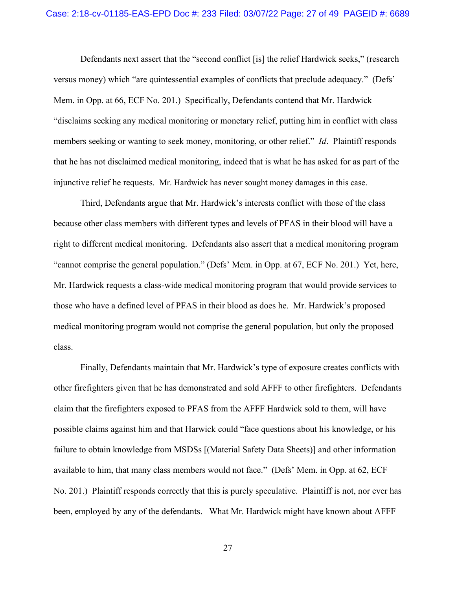Defendants next assert that the "second conflict [is] the relief Hardwick seeks," (research versus money) which "are quintessential examples of conflicts that preclude adequacy." (Defs' Mem. in Opp. at 66, ECF No. 201.) Specifically, Defendants contend that Mr. Hardwick "disclaims seeking any medical monitoring or monetary relief, putting him in conflict with class members seeking or wanting to seek money, monitoring, or other relief." *Id*. Plaintiff responds that he has not disclaimed medical monitoring, indeed that is what he has asked for as part of the injunctive relief he requests. Mr. Hardwick has never sought money damages in this case.

Third, Defendants argue that Mr. Hardwick's interests conflict with those of the class because other class members with different types and levels of PFAS in their blood will have a right to different medical monitoring. Defendants also assert that a medical monitoring program "cannot comprise the general population." (Defs' Mem. in Opp. at 67, ECF No. 201.) Yet, here, Mr. Hardwick requests a class-wide medical monitoring program that would provide services to those who have a defined level of PFAS in their blood as does he. Mr. Hardwick's proposed medical monitoring program would not comprise the general population, but only the proposed class.

Finally, Defendants maintain that Mr. Hardwick's type of exposure creates conflicts with other firefighters given that he has demonstrated and sold AFFF to other firefighters. Defendants claim that the firefighters exposed to PFAS from the AFFF Hardwick sold to them, will have possible claims against him and that Harwick could "face questions about his knowledge, or his failure to obtain knowledge from MSDSs [(Material Safety Data Sheets)] and other information available to him, that many class members would not face." (Defs' Mem. in Opp. at 62, ECF No. 201.) Plaintiff responds correctly that this is purely speculative. Plaintiff is not, nor ever has been, employed by any of the defendants. What Mr. Hardwick might have known about AFFF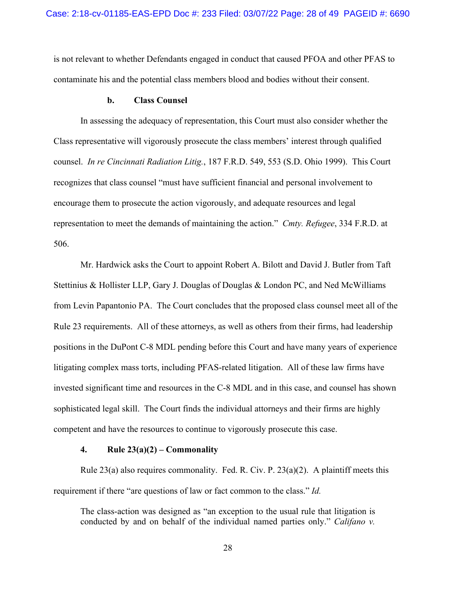is not relevant to whether Defendants engaged in conduct that caused PFOA and other PFAS to contaminate his and the potential class members blood and bodies without their consent.

#### **b. Class Counsel**

In assessing the adequacy of representation, this Court must also consider whether the Class representative will vigorously prosecute the class members' interest through qualified counsel. *In re Cincinnati Radiation Litig.*, 187 F.R.D. 549, 553 (S.D. Ohio 1999). This Court recognizes that class counsel "must have sufficient financial and personal involvement to encourage them to prosecute the action vigorously, and adequate resources and legal representation to meet the demands of maintaining the action." *Cmty. Refugee*, 334 F.R.D. at 506.

Mr. Hardwick asks the Court to appoint Robert A. Bilott and David J. Butler from Taft Stettinius & Hollister LLP, Gary J. Douglas of Douglas & London PC, and Ned McWilliams from Levin Papantonio PA. The Court concludes that the proposed class counsel meet all of the Rule 23 requirements. All of these attorneys, as well as others from their firms, had leadership positions in the DuPont C-8 MDL pending before this Court and have many years of experience litigating complex mass torts, including PFAS-related litigation. All of these law firms have invested significant time and resources in the C-8 MDL and in this case, and counsel has shown sophisticated legal skill. The Court finds the individual attorneys and their firms are highly competent and have the resources to continue to vigorously prosecute this case.

#### **4. Rule 23(a)(2) – Commonality**

Rule 23(a) also requires commonality. Fed. R. Civ. P.  $23(a)(2)$ . A plaintiff meets this requirement if there "are questions of law or fact common to the class." *Id.* 

The class-action was designed as "an exception to the usual rule that litigation is conducted by and on behalf of the individual named parties only." *Califano v.*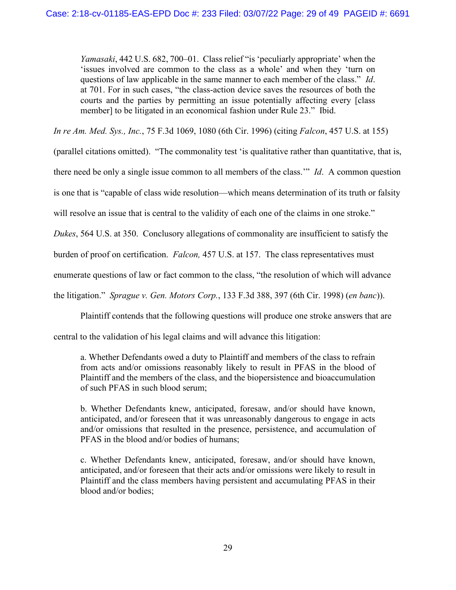*Yamasaki*, 442 U.S. 682, 700–01. Class relief "is 'peculiarly appropriate' when the 'issues involved are common to the class as a whole' and when they 'turn on questions of law applicable in the same manner to each member of the class." *Id*. at 701. For in such cases, "the class-action device saves the resources of both the courts and the parties by permitting an issue potentially affecting every [class member] to be litigated in an economical fashion under Rule 23." Ibid.

*In re Am. Med. Sys., Inc.*, 75 F.3d 1069, 1080 (6th Cir. 1996) (citing *Falcon*, 457 U.S. at 155)

(parallel citations omitted). "The commonality test 'is qualitative rather than quantitative, that is,

there need be only a single issue common to all members of the class.'" *Id*. A common question

is one that is "capable of class wide resolution—which means determination of its truth or falsity

will resolve an issue that is central to the validity of each one of the claims in one stroke."

*Dukes*, 564 U.S. at 350. Conclusory allegations of commonality are insufficient to satisfy the

burden of proof on certification. *Falcon,* 457 U.S. at 157. The class representatives must

enumerate questions of law or fact common to the class, "the resolution of which will advance

the litigation." *Sprague v. Gen. Motors Corp.*, 133 F.3d 388, 397 (6th Cir. 1998) (*en banc*)).

Plaintiff contends that the following questions will produce one stroke answers that are

central to the validation of his legal claims and will advance this litigation:

a. Whether Defendants owed a duty to Plaintiff and members of the class to refrain from acts and/or omissions reasonably likely to result in PFAS in the blood of Plaintiff and the members of the class, and the biopersistence and bioaccumulation of such PFAS in such blood serum;

b. Whether Defendants knew, anticipated, foresaw, and/or should have known, anticipated, and/or foreseen that it was unreasonably dangerous to engage in acts and/or omissions that resulted in the presence, persistence, and accumulation of PFAS in the blood and/or bodies of humans;

c. Whether Defendants knew, anticipated, foresaw, and/or should have known, anticipated, and/or foreseen that their acts and/or omissions were likely to result in Plaintiff and the class members having persistent and accumulating PFAS in their blood and/or bodies;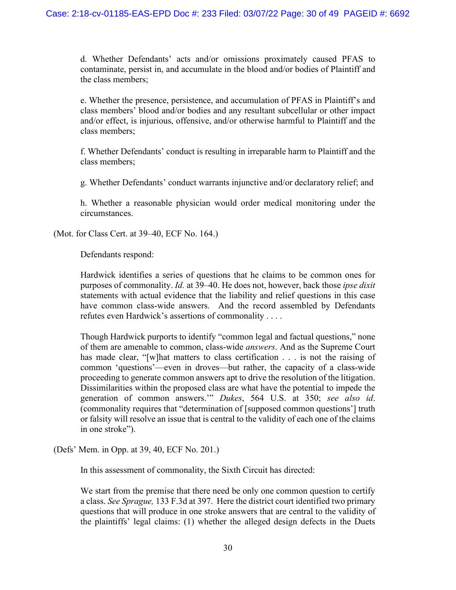d. Whether Defendants' acts and/or omissions proximately caused PFAS to contaminate, persist in, and accumulate in the blood and/or bodies of Plaintiff and the class members;

e. Whether the presence, persistence, and accumulation of PFAS in Plaintiff's and class members' blood and/or bodies and any resultant subcellular or other impact and/or effect, is injurious, offensive, and/or otherwise harmful to Plaintiff and the class members;

f. Whether Defendants' conduct is resulting in irreparable harm to Plaintiff and the class members;

g. Whether Defendants' conduct warrants injunctive and/or declaratory relief; and

h. Whether a reasonable physician would order medical monitoring under the circumstances.

(Mot. for Class Cert. at 39–40, ECF No. 164.)

Defendants respond:

Hardwick identifies a series of questions that he claims to be common ones for purposes of commonality. *Id.* at 39–40. He does not, however, back those *ipse dixit*  statements with actual evidence that the liability and relief questions in this case have common class-wide answers. And the record assembled by Defendants refutes even Hardwick's assertions of commonality . . . .

Though Hardwick purports to identify "common legal and factual questions," none of them are amenable to common, class-wide *answers*. And as the Supreme Court has made clear, "[w]hat matters to class certification . . . is not the raising of common 'questions'—even in droves—but rather, the capacity of a class-wide proceeding to generate common answers apt to drive the resolution of the litigation. Dissimilarities within the proposed class are what have the potential to impede the generation of common answers.'" *Dukes*, 564 U.S. at 350; *see also id*. (commonality requires that "determination of [supposed common questions'] truth or falsity will resolve an issue that is central to the validity of each one of the claims in one stroke").

(Defs' Mem. in Opp. at 39, 40, ECF No. 201.)

In this assessment of commonality, the Sixth Circuit has directed:

We start from the premise that there need be only one common question to certify a class. *See Sprague,* 133 F.3d at 397. Here the district court identified two primary questions that will produce in one stroke answers that are central to the validity of the plaintiffs' legal claims: (1) whether the alleged design defects in the Duets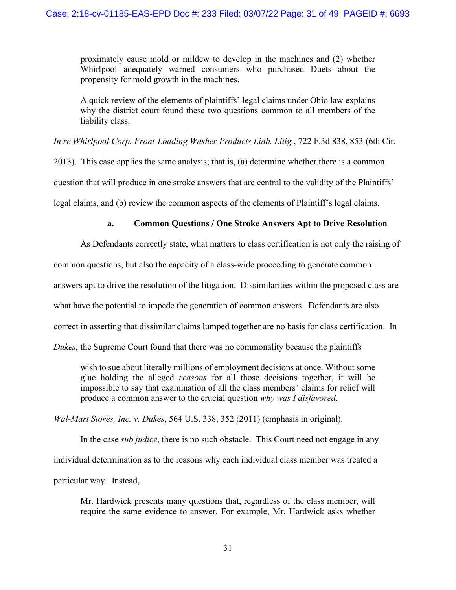proximately cause mold or mildew to develop in the machines and (2) whether Whirlpool adequately warned consumers who purchased Duets about the propensity for mold growth in the machines.

A quick review of the elements of plaintiffs' legal claims under Ohio law explains why the district court found these two questions common to all members of the liability class.

*In re Whirlpool Corp. Front-Loading Washer Products Liab. Litig.*, 722 F.3d 838, 853 (6th Cir.

2013). This case applies the same analysis; that is, (a) determine whether there is a common question that will produce in one stroke answers that are central to the validity of the Plaintiffs' legal claims, and (b) review the common aspects of the elements of Plaintiff's legal claims.

# **a. Common Questions / One Stroke Answers Apt to Drive Resolution**

As Defendants correctly state, what matters to class certification is not only the raising of

common questions, but also the capacity of a class-wide proceeding to generate common

answers apt to drive the resolution of the litigation. Dissimilarities within the proposed class are

what have the potential to impede the generation of common answers. Defendants are also

correct in asserting that dissimilar claims lumped together are no basis for class certification. In

*Dukes*, the Supreme Court found that there was no commonality because the plaintiffs

wish to sue about literally millions of employment decisions at once. Without some glue holding the alleged *reasons* for all those decisions together, it will be impossible to say that examination of all the class members' claims for relief will produce a common answer to the crucial question *why was I disfavored*.

*Wal-Mart Stores, Inc. v. Dukes*, 564 U.S. 338, 352 (2011) (emphasis in original).

In the case *sub judice*, there is no such obstacle. This Court need not engage in any individual determination as to the reasons why each individual class member was treated a particular way. Instead,

Mr. Hardwick presents many questions that, regardless of the class member, will require the same evidence to answer. For example, Mr. Hardwick asks whether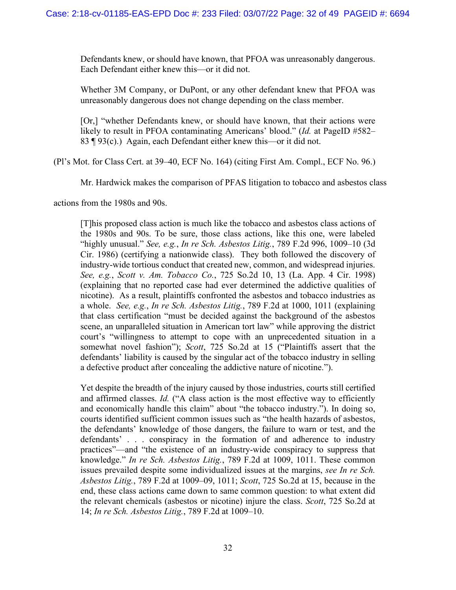Defendants knew, or should have known, that PFOA was unreasonably dangerous. Each Defendant either knew this—or it did not.

Whether 3M Company, or DuPont, or any other defendant knew that PFOA was unreasonably dangerous does not change depending on the class member.

[Or,] "whether Defendants knew, or should have known, that their actions were likely to result in PFOA contaminating Americans' blood." (*Id.* at PageID #582– 83 ¶ 93(c).) Again, each Defendant either knew this—or it did not.

(Pl's Mot. for Class Cert. at 39–40, ECF No. 164) (citing First Am. Compl., ECF No. 96.)

Mr. Hardwick makes the comparison of PFAS litigation to tobacco and asbestos class

actions from the 1980s and 90s.

[T]his proposed class action is much like the tobacco and asbestos class actions of the 1980s and 90s. To be sure, those class actions, like this one, were labeled "highly unusual." *See, e.g.*, *In re Sch. Asbestos Litig.*, 789 F.2d 996, 1009–10 (3d Cir. 1986) (certifying a nationwide class). They both followed the discovery of industry-wide tortious conduct that created new, common, and widespread injuries. *See, e.g.*, *Scott v. Am. Tobacco Co.*, 725 So.2d 10, 13 (La. App. 4 Cir. 1998) (explaining that no reported case had ever determined the addictive qualities of nicotine). As a result, plaintiffs confronted the asbestos and tobacco industries as a whole. *See, e.g.*, *In re Sch. Asbestos Litig.*, 789 F.2d at 1000, 1011 (explaining that class certification "must be decided against the background of the asbestos scene, an unparalleled situation in American tort law" while approving the district court's "willingness to attempt to cope with an unprecedented situation in a somewhat novel fashion"); *Scott*, 725 So.2d at 15 ("Plaintiffs assert that the defendants' liability is caused by the singular act of the tobacco industry in selling a defective product after concealing the addictive nature of nicotine.").

Yet despite the breadth of the injury caused by those industries, courts still certified and affirmed classes. *Id.* ("A class action is the most effective way to efficiently and economically handle this claim" about "the tobacco industry."). In doing so, courts identified sufficient common issues such as "the health hazards of asbestos, the defendants' knowledge of those dangers, the failure to warn or test, and the defendants' . . . conspiracy in the formation of and adherence to industry practices"—and "the existence of an industry-wide conspiracy to suppress that knowledge." *In re Sch. Asbestos Litig.*, 789 F.2d at 1009, 1011. These common issues prevailed despite some individualized issues at the margins, *see In re Sch. Asbestos Litig.*, 789 F.2d at 1009–09, 1011; *Scott*, 725 So.2d at 15, because in the end, these class actions came down to same common question: to what extent did the relevant chemicals (asbestos or nicotine) injure the class. *Scott*, 725 So.2d at 14; *In re Sch. Asbestos Litig.*, 789 F.2d at 1009–10.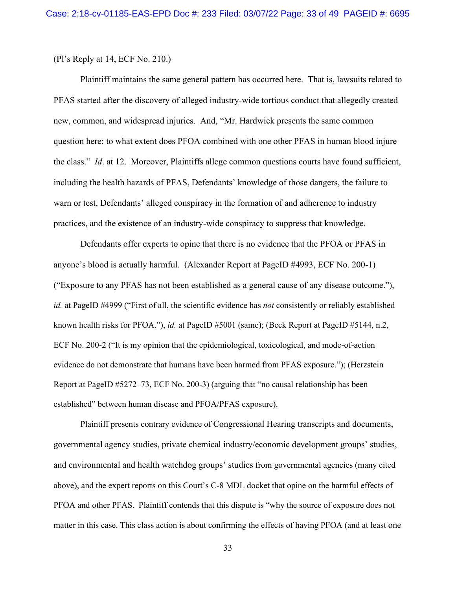(Pl's Reply at 14, ECF No. 210.)

Plaintiff maintains the same general pattern has occurred here. That is, lawsuits related to PFAS started after the discovery of alleged industry-wide tortious conduct that allegedly created new, common, and widespread injuries. And, "Mr. Hardwick presents the same common question here: to what extent does PFOA combined with one other PFAS in human blood injure the class." *Id*. at 12. Moreover, Plaintiffs allege common questions courts have found sufficient, including the health hazards of PFAS, Defendants' knowledge of those dangers, the failure to warn or test, Defendants' alleged conspiracy in the formation of and adherence to industry practices, and the existence of an industry-wide conspiracy to suppress that knowledge.

Defendants offer experts to opine that there is no evidence that the PFOA or PFAS in anyone's blood is actually harmful. (Alexander Report at PageID #4993, ECF No. 200-1) ("Exposure to any PFAS has not been established as a general cause of any disease outcome."), *id.* at PageID #4999 ("First of all, the scientific evidence has *not* consistently or reliably established known health risks for PFOA."), *id.* at PageID #5001 (same); (Beck Report at PageID #5144, n.2, ECF No. 200-2 ("It is my opinion that the epidemiological, toxicological, and mode-of-action evidence do not demonstrate that humans have been harmed from PFAS exposure."); (Herzstein Report at PageID #5272–73, ECF No. 200-3) (arguing that "no causal relationship has been established" between human disease and PFOA/PFAS exposure).

Plaintiff presents contrary evidence of Congressional Hearing transcripts and documents, governmental agency studies, private chemical industry/economic development groups' studies, and environmental and health watchdog groups' studies from governmental agencies (many cited above), and the expert reports on this Court's C-8 MDL docket that opine on the harmful effects of PFOA and other PFAS. Plaintiff contends that this dispute is "why the source of exposure does not matter in this case. This class action is about confirming the effects of having PFOA (and at least one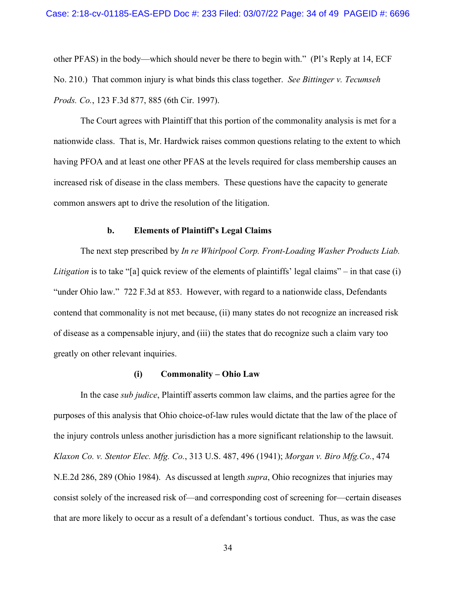other PFAS) in the body—which should never be there to begin with." (Pl's Reply at 14, ECF No. 210.) That common injury is what binds this class together. *See Bittinger v. Tecumseh Prods. Co.*, 123 F.3d 877, 885 (6th Cir. 1997).

The Court agrees with Plaintiff that this portion of the commonality analysis is met for a nationwide class. That is, Mr. Hardwick raises common questions relating to the extent to which having PFOA and at least one other PFAS at the levels required for class membership causes an increased risk of disease in the class members. These questions have the capacity to generate common answers apt to drive the resolution of the litigation.

#### **b. Elements of Plaintiff's Legal Claims**

The next step prescribed by *In re Whirlpool Corp. Front-Loading Washer Products Liab. Litigation* is to take "[a] quick review of the elements of plaintiffs' legal claims" – in that case (i) "under Ohio law." 722 F.3d at 853. However, with regard to a nationwide class, Defendants contend that commonality is not met because, (ii) many states do not recognize an increased risk of disease as a compensable injury, and (iii) the states that do recognize such a claim vary too greatly on other relevant inquiries.

#### **(i) Commonality – Ohio Law**

In the case *sub judice*, Plaintiff asserts common law claims, and the parties agree for the purposes of this analysis that Ohio choice-of-law rules would dictate that the law of the place of the injury controls unless another jurisdiction has a more significant relationship to the lawsuit. *Klaxon Co. v. Stentor Elec. Mfg. Co.*, 313 U.S. 487, 496 (1941); *Morgan v. Biro Mfg.Co.*, 474 N.E.2d 286, 289 (Ohio 1984). As discussed at length *supra*, Ohio recognizes that injuries may consist solely of the increased risk of—and corresponding cost of screening for—certain diseases that are more likely to occur as a result of a defendant's tortious conduct. Thus, as was the case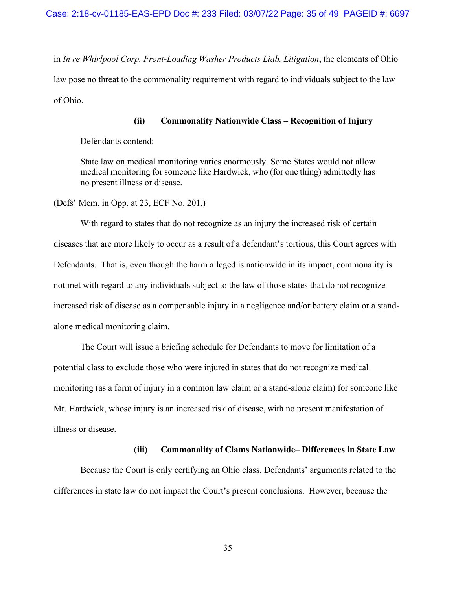in *In re Whirlpool Corp. Front-Loading Washer Products Liab. Litigation*, the elements of Ohio law pose no threat to the commonality requirement with regard to individuals subject to the law of Ohio.

### **(ii) Commonality Nationwide Class – Recognition of Injury**

Defendants contend:

State law on medical monitoring varies enormously. Some States would not allow medical monitoring for someone like Hardwick, who (for one thing) admittedly has no present illness or disease.

(Defs' Mem. in Opp. at 23, ECF No. 201.)

With regard to states that do not recognize as an injury the increased risk of certain diseases that are more likely to occur as a result of a defendant's tortious, this Court agrees with Defendants. That is, even though the harm alleged is nationwide in its impact, commonality is not met with regard to any individuals subject to the law of those states that do not recognize increased risk of disease as a compensable injury in a negligence and/or battery claim or a standalone medical monitoring claim.

The Court will issue a briefing schedule for Defendants to move for limitation of a potential class to exclude those who were injured in states that do not recognize medical monitoring (as a form of injury in a common law claim or a stand-alone claim) for someone like Mr. Hardwick, whose injury is an increased risk of disease, with no present manifestation of illness or disease.

#### (**iii) Commonality of Clams Nationwide– Differences in State Law**

Because the Court is only certifying an Ohio class, Defendants' arguments related to the differences in state law do not impact the Court's present conclusions. However, because the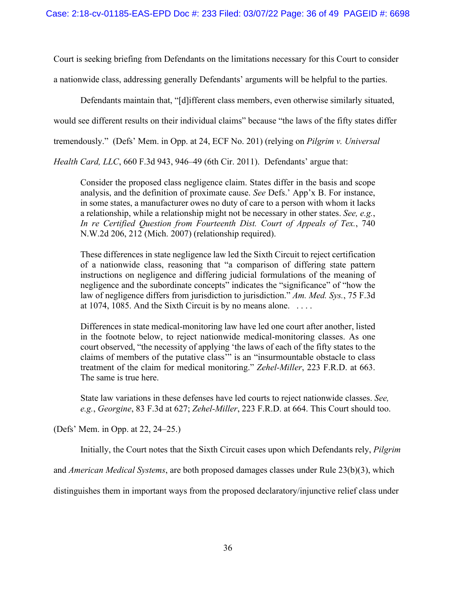Court is seeking briefing from Defendants on the limitations necessary for this Court to consider

a nationwide class, addressing generally Defendants' arguments will be helpful to the parties.

Defendants maintain that, "[d]ifferent class members, even otherwise similarly situated,

would see different results on their individual claims" because "the laws of the fifty states differ

tremendously." (Defs' Mem. in Opp. at 24, ECF No. 201) (relying on *Pilgrim v. Universal* 

*Health Card, LLC*, 660 F.3d 943, 946–49 (6th Cir. 2011). Defendants' argue that:

Consider the proposed class negligence claim. States differ in the basis and scope analysis, and the definition of proximate cause. *See* Defs.' App'x B. For instance, in some states, a manufacturer owes no duty of care to a person with whom it lacks a relationship, while a relationship might not be necessary in other states. *See, e.g.*, *In re Certified Question from Fourteenth Dist. Court of Appeals of Tex.*, 740 N.W.2d 206, 212 (Mich. 2007) (relationship required).

These differences in state negligence law led the Sixth Circuit to reject certification of a nationwide class, reasoning that "a comparison of differing state pattern instructions on negligence and differing judicial formulations of the meaning of negligence and the subordinate concepts" indicates the "significance" of "how the law of negligence differs from jurisdiction to jurisdiction." *Am. Med. Sys.*, 75 F.3d at 1074, 1085. And the Sixth Circuit is by no means alone.  $\dots$ 

Differences in state medical-monitoring law have led one court after another, listed in the footnote below, to reject nationwide medical-monitoring classes. As one court observed, "the necessity of applying 'the laws of each of the fifty states to the claims of members of the putative class'" is an "insurmountable obstacle to class treatment of the claim for medical monitoring." *Zehel-Miller*, 223 F.R.D. at 663. The same is true here.

State law variations in these defenses have led courts to reject nationwide classes. *See, e.g.*, *Georgine*, 83 F.3d at 627; *Zehel-Miller*, 223 F.R.D. at 664. This Court should too.

(Defs' Mem. in Opp. at 22, 24–25.)

Initially, the Court notes that the Sixth Circuit cases upon which Defendants rely, *Pilgrim* 

and *American Medical Systems*, are both proposed damages classes under Rule 23(b)(3), which

distinguishes them in important ways from the proposed declaratory/injunctive relief class under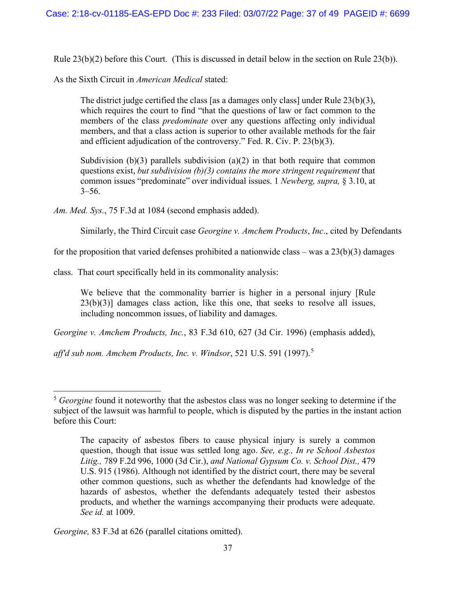Rule 23(b)(2) before this Court. (This is discussed in detail below in the section on Rule 23(b)).

As the Sixth Circuit in *American Medical* stated:

The district judge certified the class [as a damages only class] under Rule  $23(b)(3)$ , which requires the court to find "that the questions of law or fact common to the members of the class *predominate* over any questions affecting only individual members, and that a class action is superior to other available methods for the fair and efficient adjudication of the controversy." Fed. R. Civ. P. 23(b)(3).

Subdivision (b)(3) parallels subdivision (a)(2) in that both require that common questions exist, *but subdivision (b)(3) contains the more stringent requirement* that common issues "predominate" over individual issues. 1 *Newberg, supra,* § 3.10, at  $3 - 56.$ 

*Am. Med. Sys.*, 75 F.3d at 1084 (second emphasis added).

Similarly, the Third Circuit case *Georgine v. Amchem Products*, *Inc*., cited by Defendants

for the proposition that varied defenses prohibited a nationwide class – was a  $23(b)(3)$  damages

class. That court specifically held in its commonality analysis:

We believe that the commonality barrier is higher in a personal injury [Rule] 23(b)(3)] damages class action, like this one, that seeks to resolve all issues, including noncommon issues, of liability and damages.

*Georgine v. Amchem Products, Inc.*, 83 F.3d 610, 627 (3d Cir. 1996) (emphasis added),

*aff'd sub nom. Amchem Products, Inc. v. Windsor*, 521 U.S. 591 (1997). [5](#page-36-0)

*Georgine,* 83 F.3d at 626 (parallel citations omitted).

<span id="page-36-0"></span><sup>&</sup>lt;sup>5</sup> Georgine found it noteworthy that the asbestos class was no longer seeking to determine if the subject of the lawsuit was harmful to people, which is disputed by the parties in the instant action before this Court:

The capacity of asbestos fibers to cause physical injury is surely a common question, though that issue was settled long ago. *See, e.g., In re School Asbestos Litig.,* 789 F.2d 996, 1000 (3d Cir.), *and National Gypsum Co. v. School Dist.,* 479 U.S. 915 (1986). Although not identified by the district court, there may be several other common questions, such as whether the defendants had knowledge of the hazards of asbestos, whether the defendants adequately tested their asbestos products, and whether the warnings accompanying their products were adequate. *See id.* at 1009.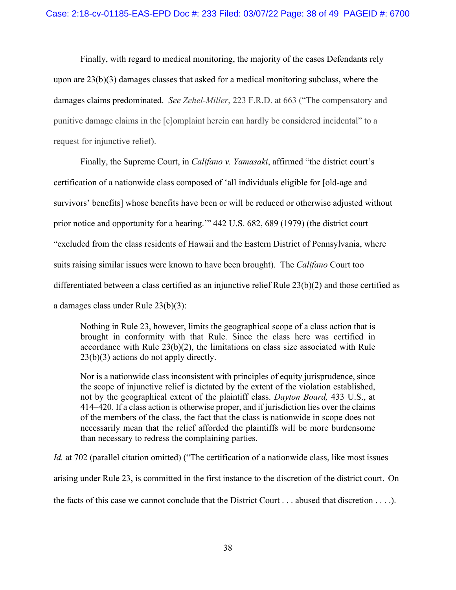Finally, with regard to medical monitoring, the majority of the cases Defendants rely upon are 23(b)(3) damages classes that asked for a medical monitoring subclass, where the damages claims predominated. *See Zehel-Miller*[, 223 F.R.D. at 663](https://1.next.westlaw.com/Link/Document/FullText?findType=Y&serNum=2004671921&pubNum=0000344&originatingDoc=I1bce33a0966211e8a064bbcf25cb9a66&refType=RP&fi=co_pp_sp_344_663&originationContext=document&transitionType=DocumentItem&ppcid=7b49ea9bf3f040b59995024f697a37c3&contextData=(sc.Keycite)#co_pp_sp_344_663) ("The compensatory and punitive damage claims in the [c]omplaint herein can hardly be considered incidental" to a request for injunctive relief).

Finally, the Supreme Court, in *Califano v. Yamasaki*, affirmed "the district court's certification of a nationwide class composed of 'all individuals eligible for [old-age and survivors' benefits] whose benefits have been or will be reduced or otherwise adjusted without prior notice and opportunity for a hearing.'" 442 U.S. 682, 689 (1979) (the district court "excluded from the class residents of Hawaii and the Eastern District of Pennsylvania, where suits raising similar issues were known to have been brought). The *Califano* Court too differentiated between a class certified as an injunctive relief Rule 23(b)(2) and those certified as a damages class under Rule 23(b)(3):

Nothing in Rule 23, however, limits the geographical scope of a class action that is brought in conformity with that Rule. Since the class here was certified in accordance with Rule 23(b)(2), the limitations on class size associated with Rule 23(b)(3) actions do not apply directly.

Nor is a nationwide class inconsistent with principles of equity jurisprudence, since the scope of injunctive relief is dictated by the extent of the violation established, not by the geographical extent of the plaintiff class. *Dayton Board,* 433 U.S., at 414–420. If a class action is otherwise proper, and if jurisdiction lies over the claims of the members of the class, the fact that the class is nationwide in scope does not necessarily mean that the relief afforded the plaintiffs will be more burdensome than necessary to redress the complaining parties.

*Id.* at 702 (parallel citation omitted) ("The certification of a nationwide class, like most issues

arising under Rule 23, is committed in the first instance to the discretion of the district court. On

the facts of this case we cannot conclude that the District Court . . . abused that discretion . . . .).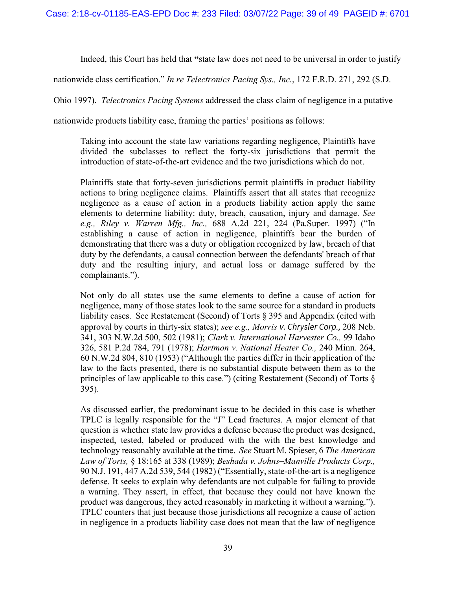Indeed, this Court has held that **"**state law does not need to be universal in order to justify

nationwide class certification." *In re Telectronics Pacing Sys., Inc.*, 172 F.R.D. 271, 292 (S.D.

Ohio 1997). *Telectronics Pacing Systems* addressed the class claim of negligence in a putative

nationwide products liability case, framing the parties' positions as follows:

Taking into account the state law variations regarding negligence, Plaintiffs have divided the subclasses to reflect the forty-six jurisdictions that permit the introduction of state-of-the-art evidence and the two jurisdictions which do not.

Plaintiffs state that forty-seven jurisdictions permit plaintiffs in product liability actions to bring negligence claims. Plaintiffs assert that all states that recognize negligence as a cause of action in a products liability action apply the same elements to determine liability: duty, breach, causation, injury and damage. *See e.g., Riley v. Warren Mfg., Inc.,* 688 A.2d 221, 224 (Pa.Super. 1997) ("In establishing a cause of action in negligence, plaintiffs bear the burden of demonstrating that there was a duty or obligation recognized by law, breach of that duty by the defendants, a causal connection between the defendants' breach of that duty and the resulting injury, and actual loss or damage suffered by the complainants.").

Not only do all states use the same elements to define a cause of action for negligence, many of those states look to the same source for a standard in products liability cases. See Restatement (Second) of Torts § 395 and Appendix (cited with approval by courts in thirty-six states); *see e.g., Morris v. Chrysler Corp.,* 208 Neb. 341, 303 N.W.2d 500, 502 (1981); *Clark v. International Harvester Co.,* 99 Idaho 326, 581 P.2d 784, 791 (1978); *Hartmon v. National Heater Co.,* 240 Minn. 264, 60 N.W.2d 804, 810 (1953) ("Although the parties differ in their application of the law to the facts presented, there is no substantial dispute between them as to the principles of law applicable to this case.") (citing Restatement (Second) of Torts § 395).

As discussed earlier, the predominant issue to be decided in this case is whether TPLC is legally responsible for the "J" Lead fractures. A major element of that question is whether state law provides a defense because the product was designed, inspected, tested, labeled or produced with the with the best knowledge and technology reasonably available at the time. *See* Stuart M. Spieser, 6 *The American Law of Torts,* § 18:165 at 338 (1989); *Beshada v. Johns–Manville Products Corp.,* 90 N.J. 191, 447 A.2d 539, 544 (1982) ("Essentially, state-of-the-art is a negligence defense. It seeks to explain why defendants are not culpable for failing to provide a warning. They assert, in effect, that because they could not have known the product was dangerous, they acted reasonably in marketing it without a warning."). TPLC counters that just because those jurisdictions all recognize a cause of action in negligence in a products liability case does not mean that the law of negligence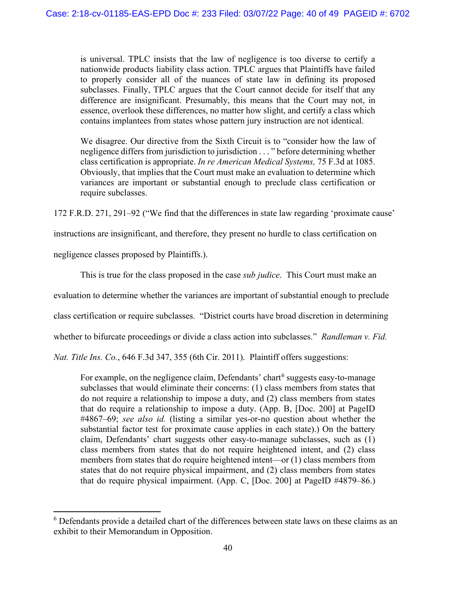is universal. TPLC insists that the law of negligence is too diverse to certify a nationwide products liability class action. TPLC argues that Plaintiffs have failed to properly consider all of the nuances of state law in defining its proposed subclasses. Finally, TPLC argues that the Court cannot decide for itself that any difference are insignificant. Presumably, this means that the Court may not, in essence, overlook these differences, no matter how slight, and certify a class which contains implantees from states whose pattern jury instruction are not identical.

We disagree. Our directive from the Sixth Circuit is to "consider how the law of negligence differs from jurisdiction to jurisdiction . . . " before determining whether class certification is appropriate. *In re American Medical Systems,* 75 F.3d at 1085. Obviously, that implies that the Court must make an evaluation to determine which variances are important or substantial enough to preclude class certification or require subclasses.

172 F.R.D. 271, 291–92 ("We find that the differences in state law regarding 'proximate cause'

instructions are insignificant, and therefore, they present no hurdle to class certification on

negligence classes proposed by Plaintiffs.).

This is true for the class proposed in the case *sub judice*. This Court must make an

evaluation to determine whether the variances are important of substantial enough to preclude

class certification or require subclasses. "District courts have broad discretion in determining

whether to bifurcate proceedings or divide a class action into subclasses." *Randleman v. Fid.* 

*Nat. Title Ins. Co.*, 646 F.3d 347, 355 (6th Cir. 2011). Plaintiff offers suggestions:

For example, on the negligence claim, Defendants' chart<sup>[6](#page-39-0)</sup> suggests easy-to-manage subclasses that would eliminate their concerns: (1) class members from states that do not require a relationship to impose a duty, and (2) class members from states that do require a relationship to impose a duty. (App. B, [Doc. 200] at PageID #4867–69; *see also id.* (listing a similar yes-or-no question about whether the substantial factor test for proximate cause applies in each state).) On the battery claim, Defendants' chart suggests other easy-to-manage subclasses, such as (1) class members from states that do not require heightened intent, and (2) class members from states that do require heightened intent—or (1) class members from states that do not require physical impairment, and (2) class members from states that do require physical impairment. (App. C, [Doc. 200] at PageID #4879–86.)

<span id="page-39-0"></span> $6$  Defendants provide a detailed chart of the differences between state laws on these claims as an exhibit to their Memorandum in Opposition.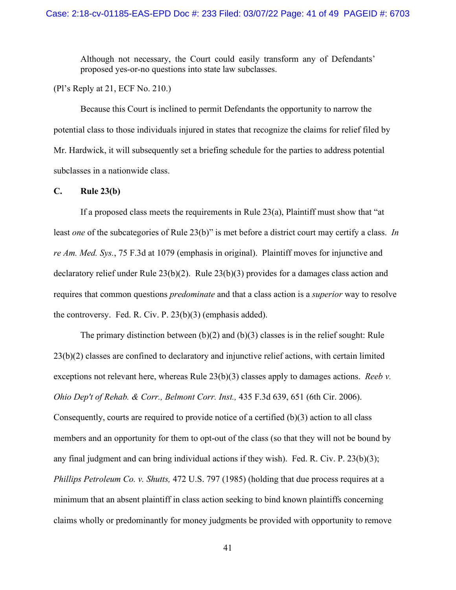Although not necessary, the Court could easily transform any of Defendants' proposed yes-or-no questions into state law subclasses.

(Pl's Reply at 21, ECF No. 210.)

Because this Court is inclined to permit Defendants the opportunity to narrow the potential class to those individuals injured in states that recognize the claims for relief filed by Mr. Hardwick, it will subsequently set a briefing schedule for the parties to address potential subclasses in a nationwide class.

#### **C. Rule 23(b)**

If a proposed class meets the requirements in Rule 23(a), Plaintiff must show that "at least *one* of the subcategories of Rule 23(b)" is met before a district court may certify a class. *In re Am. Med. Sys.*, 75 F.3d at 1079 (emphasis in original). Plaintiff moves for injunctive and declaratory relief under Rule 23(b)(2). Rule 23(b)(3) provides for a damages class action and requires that common questions *predominate* and that a class action is a *superior* way to resolve the controversy. Fed. R. Civ. P. 23(b)(3) (emphasis added).

The primary distinction between  $(b)(2)$  and  $(b)(3)$  classes is in the relief sought: Rule 23(b)(2) classes are confined to declaratory and injunctive relief actions, with certain limited exceptions not relevant here, whereas Rule 23(b)(3) classes apply to damages actions. *Reeb v. Ohio Dep't of Rehab. & Corr., Belmont Corr. Inst.,* 435 F.3d 639, 651 (6th Cir. 2006). Consequently, courts are required to provide notice of a certified (b)(3) action to all class members and an opportunity for them to opt-out of the class (so that they will not be bound by any final judgment and can bring individual actions if they wish). Fed. R. Civ. P. 23(b)(3); *Phillips Petroleum Co. v. Shutts,* 472 U.S. 797 (1985) (holding that due process requires at a minimum that an absent plaintiff in class action seeking to bind known plaintiffs concerning claims wholly or predominantly for money judgments be provided with opportunity to remove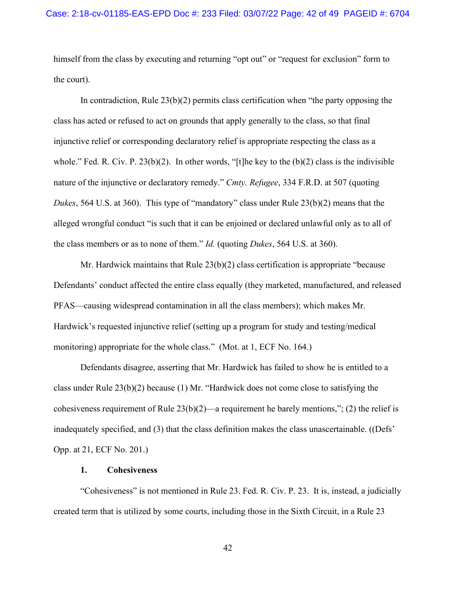himself from the class by executing and returning "opt out" or "request for exclusion" form to the court).

In contradiction, Rule  $23(b)(2)$  permits class certification when "the party opposing the class has acted or refused to act on grounds that apply generally to the class, so that final injunctive relief or corresponding declaratory relief is appropriate respecting the class as a whole." Fed. R. Civ. P. 23(b)(2). In other words, "[t]he key to the  $(b)(2)$  class is the indivisible nature of the injunctive or declaratory remedy." *Cmty. Refugee*, 334 F.R.D. at 507 (quoting *Dukes*, 564 U.S. at 360). This type of "mandatory" class under Rule 23(b)(2) means that the alleged wrongful conduct "is such that it can be enjoined or declared unlawful only as to all of the class members or as to none of them." *Id.* (quoting *Dukes*, 564 U.S. at 360).

Mr. Hardwick maintains that Rule 23(b)(2) class certification is appropriate "because Defendants' conduct affected the entire class equally (they marketed, manufactured, and released PFAS—causing widespread contamination in all the class members); which makes Mr. Hardwick's requested injunctive relief (setting up a program for study and testing/medical monitoring) appropriate for the whole class." (Mot. at 1, ECF No. 164.)

Defendants disagree, asserting that Mr. Hardwick has failed to show he is entitled to a class under Rule 23(b)(2) because (1) Mr. "Hardwick does not come close to satisfying the cohesiveness requirement of Rule 23(b)(2)—a requirement he barely mentions,"; (2) the relief is inadequately specified, and (3) that the class definition makes the class unascertainable. ((Defs' Opp. at 21, ECF No. 201.)

#### **1. Cohesiveness**

"Cohesiveness" is not mentioned in Rule 23. Fed. R. Civ. P. 23. It is, instead, a judicially created term that is utilized by some courts, including those in the Sixth Circuit, in a Rule 23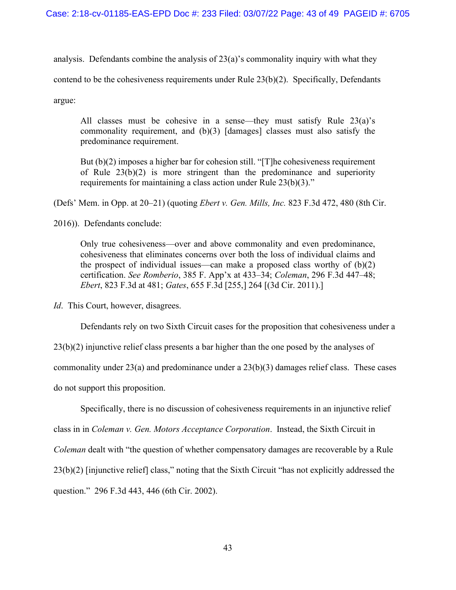analysis. Defendants combine the analysis of  $23(a)$ 's commonality inquiry with what they contend to be the cohesiveness requirements under Rule 23(b)(2). Specifically, Defendants argue:

All classes must be cohesive in a sense—they must satisfy Rule 23(a)'s commonality requirement, and (b)(3) [damages] classes must also satisfy the predominance requirement.

But (b)(2) imposes a higher bar for cohesion still. "[T]he cohesiveness requirement of Rule 23(b)(2) is more stringent than the predominance and superiority requirements for maintaining a class action under Rule 23(b)(3)."

(Defs' Mem. in Opp. at 20–21) (quoting *Ebert v. Gen. Mills, Inc.* 823 F.3d 472, 480 (8th Cir.

2016)). Defendants conclude:

Only true cohesiveness—over and above commonality and even predominance, cohesiveness that eliminates concerns over both the loss of individual claims and the prospect of individual issues—can make a proposed class worthy of  $(b)(2)$ certification. *See Romberio*, 385 F. App'x at 433–34; *Coleman*, 296 F.3d 447–48; *Ebert*, 823 F.3d at 481; *Gates*, 655 F.3d [255,] 264 [(3d Cir. 2011).]

*Id.* This Court, however, disagrees.

Defendants rely on two Sixth Circuit cases for the proposition that cohesiveness under a

23(b)(2) injunctive relief class presents a bar higher than the one posed by the analyses of commonality under 23(a) and predominance under a 23(b)(3) damages relief class. These cases do not support this proposition.

Specifically, there is no discussion of cohesiveness requirements in an injunctive relief class in in *Coleman v. Gen. Motors Acceptance Corporation*. Instead, the Sixth Circuit in *Coleman* dealt with "the question of whether compensatory damages are recoverable by a Rule 23(b)(2) [injunctive relief] class," noting that the Sixth Circuit "has not explicitly addressed the question." 296 F.3d 443, 446 (6th Cir. 2002).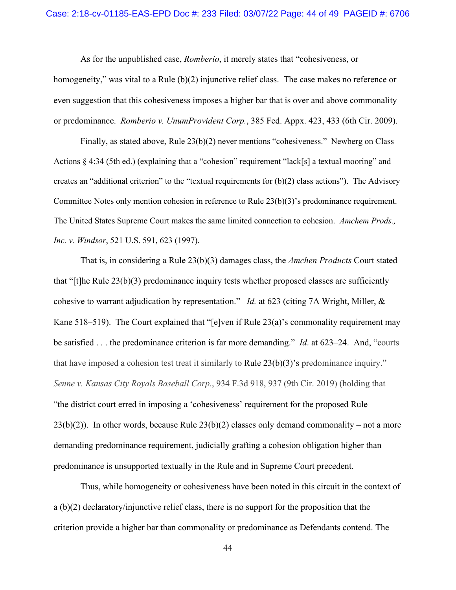As for the unpublished case, *Romberio*, it merely states that "cohesiveness, or homogeneity," was vital to a Rule (b)(2) injunctive relief class. The case makes no reference or even suggestion that this cohesiveness imposes a higher bar that is over and above commonality or predominance. *Romberio v. UnumProvident Corp.*, 385 Fed. Appx. 423, 433 (6th Cir. 2009).

Finally, as stated above, Rule 23(b)(2) never mentions "cohesiveness." Newberg on Class Actions § 4:34 (5th ed.) (explaining that a "cohesion" requirement "lack[s] a textual mooring" and creates an "additional criterion" to the "textual requirements for  $(b)(2)$  class actions"). The Advisory Committee Notes only mention cohesion in reference to Rule 23(b)(3)'s predominance requirement. The United States Supreme Court makes the same limited connection to cohesion. *Amchem Prods., Inc. v. Windsor*, 521 U.S. 591, 623 (1997).

That is, in considering a Rule 23(b)(3) damages class, the *Amchen Products* Court stated that "[t]he Rule 23(b)(3) predominance inquiry tests whether proposed classes are sufficiently cohesive to warrant adjudication by representation." *Id.* at 623 (citing 7A Wright, Miller, & Kane 518–519). The Court explained that "[e]ven if Rule 23(a)'s commonality requirement may be satisfied . . . the predominance criterion is far more demanding." *Id*. at 623–24. And, "courts that have imposed a cohesion test treat it similarly to [Rule 23\(b\)\(3\)'](https://1.next.westlaw.com/Link/Document/FullText?findType=L&pubNum=1000600&cite=USFRCPR23&originatingDoc=I23066990c04511e9aec88be692101305&refType=LQ&originationContext=document&transitionType=DocumentItem&ppcid=9399ed8b900d4ecba6e97d876168bfb2&contextData=(sc.Default))s predominance inquiry." *Senne v. Kansas City Royals Baseball Corp.*, 934 F.3d 918, 937 (9th Cir. 2019) (holding that "the district court erred in imposing a 'cohesiveness' requirement for the proposed Rule  $23(b)(2)$ ). In other words, because Rule  $23(b)(2)$  classes only demand commonality – not a more demanding predominance requirement, judicially grafting a cohesion obligation higher than predominance is unsupported textually in the Rule and in Supreme Court precedent.

Thus, while homogeneity or cohesiveness have been noted in this circuit in the context of a (b)(2) declaratory/injunctive relief class, there is no support for the proposition that the criterion provide a higher bar than commonality or predominance as Defendants contend. The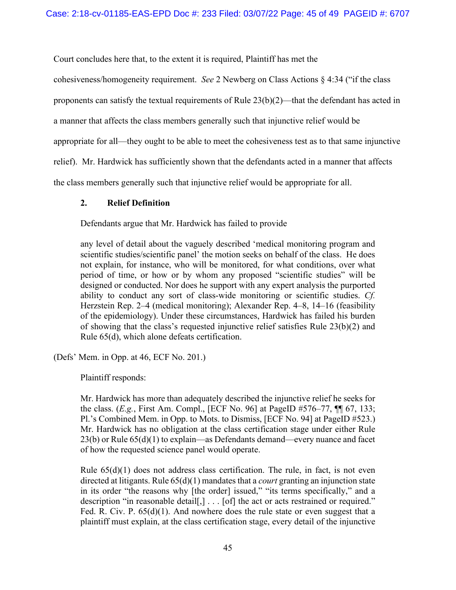Court concludes here that, to the extent it is required, Plaintiff has met the

cohesiveness/homogeneity requirement. *See* 2 Newberg on Class Actions § 4:34 ("if the class

proponents can satisfy the textual requirements of Rule 23(b)(2)—that the defendant has acted in

a manner that affects the class members generally such that injunctive relief would be

appropriate for all—they ought to be able to meet the cohesiveness test as to that same injunctive

relief). Mr. Hardwick has sufficiently shown that the defendants acted in a manner that affects

the class members generally such that injunctive relief would be appropriate for all.

# **2. Relief Definition**

Defendants argue that Mr. Hardwick has failed to provide

any level of detail about the vaguely described 'medical monitoring program and scientific studies/scientific panel' the motion seeks on behalf of the class. He does not explain, for instance, who will be monitored, for what conditions, over what period of time, or how or by whom any proposed "scientific studies" will be designed or conducted. Nor does he support with any expert analysis the purported ability to conduct any sort of class-wide monitoring or scientific studies. *Cf.*  Herzstein Rep. 2–4 (medical monitoring); Alexander Rep. 4–8, 14–16 (feasibility of the epidemiology). Under these circumstances, Hardwick has failed his burden of showing that the class's requested injunctive relief satisfies Rule 23(b)(2) and Rule 65(d), which alone defeats certification.

(Defs' Mem. in Opp. at 46, ECF No. 201.)

Plaintiff responds:

Mr. Hardwick has more than adequately described the injunctive relief he seeks for the class. (*E.g.*, First Am. Compl., [ECF No. 96] at PageID #576–77, ¶¶ 67, 133; Pl.'s Combined Mem. in Opp. to Mots. to Dismiss, [ECF No. 94] at PageID #523.) Mr. Hardwick has no obligation at the class certification stage under either Rule 23(b) or Rule 65(d)(1) to explain—as Defendants demand—every nuance and facet of how the requested science panel would operate.

Rule  $65(d)(1)$  does not address class certification. The rule, in fact, is not even directed at litigants. Rule 65(d)(1) mandates that a *court* granting an injunction state in its order "the reasons why [the order] issued," "its terms specifically," and a description "in reasonable detail[,] . . . [of] the act or acts restrained or required." Fed. R. Civ. P. 65(d)(1). And nowhere does the rule state or even suggest that a plaintiff must explain, at the class certification stage, every detail of the injunctive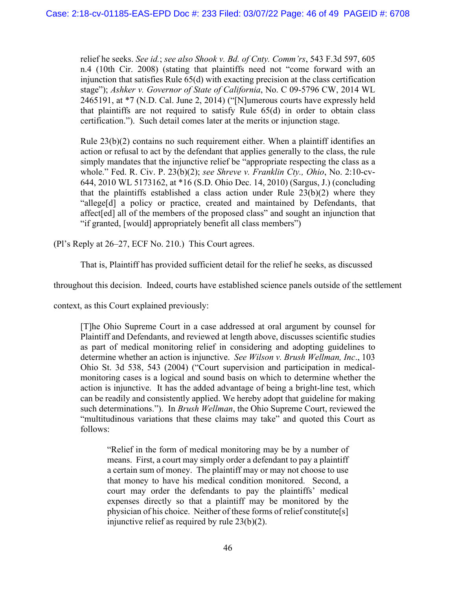relief he seeks. *See id.*; *see also Shook v. Bd. of Cnty. Comm'rs*, 543 F.3d 597, 605 n.4 (10th Cir. 2008) (stating that plaintiffs need not "come forward with an injunction that satisfies Rule 65(d) with exacting precision at the class certification stage"); *Ashker v. Governor of State of California*, No. C 09-5796 CW, 2014 WL 2465191, at \*7 (N.D. Cal. June 2, 2014) ("[N]umerous courts have expressly held that plaintiffs are not required to satisfy Rule 65(d) in order to obtain class certification."). Such detail comes later at the merits or injunction stage.

Rule  $23(b)(2)$  contains no such requirement either. When a plaintiff identifies an action or refusal to act by the defendant that applies generally to the class, the rule simply mandates that the injunctive relief be "appropriate respecting the class as a whole." Fed. R. Civ. P. 23(b)(2); *see Shreve v. Franklin Cty., Ohio*, No. 2:10-cv-644, 2010 WL 5173162, at \*16 (S.D. Ohio Dec. 14, 2010) (Sargus, J.) (concluding that the plaintiffs established a class action under Rule  $23(b)(2)$  where they "allege[d] a policy or practice, created and maintained by Defendants, that affect[ed] all of the members of the proposed class" and sought an injunction that "if granted, [would] appropriately benefit all class members")

(Pl's Reply at 26–27, ECF No. 210.) This Court agrees.

That is, Plaintiff has provided sufficient detail for the relief he seeks, as discussed

throughout this decision. Indeed, courts have established science panels outside of the settlement

context, as this Court explained previously:

[T]he Ohio Supreme Court in a case addressed at oral argument by counsel for Plaintiff and Defendants, and reviewed at length above, discusses scientific studies as part of medical monitoring relief in considering and adopting guidelines to determine whether an action is injunctive. *See Wilson v. Brush Wellman, Inc*., 103 Ohio St. 3d 538, 543 (2004) ("Court supervision and participation in medicalmonitoring cases is a logical and sound basis on which to determine whether the action is injunctive. It has the added advantage of being a bright-line test, which can be readily and consistently applied. We hereby adopt that guideline for making such determinations."). In *Brush Wellman*, the Ohio Supreme Court, reviewed the "multitudinous variations that these claims may take" and quoted this Court as follows:

"Relief in the form of medical monitoring may be by a number of means. First, a court may simply order a defendant to pay a plaintiff a certain sum of money. The plaintiff may or may not choose to use that money to have his medical condition monitored. Second, a court may order the defendants to pay the plaintiffs' medical expenses directly so that a plaintiff may be monitored by the physician of his choice. Neither of these forms of relief constitute[s] injunctive relief as required by rule 23(b)(2).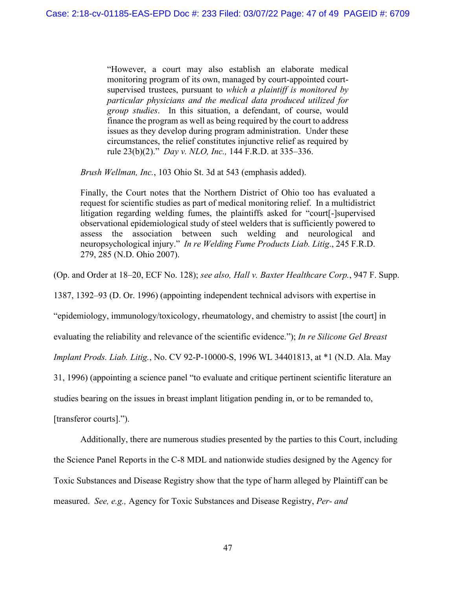"However, a court may also establish an elaborate medical monitoring program of its own, managed by court-appointed courtsupervised trustees, pursuant to *which a plaintiff is monitored by particular physicians and the medical data produced utilized for group studies*. In this situation, a defendant, of course, would finance the program as well as being required by the court to address issues as they develop during program administration. Under these circumstances, the relief constitutes injunctive relief as required by rule 23(b)(2)." *Day v. NLO, Inc.,* 144 F.R.D. at 335–336.

*Brush Wellman, Inc.*, 103 Ohio St. 3d at 543 (emphasis added).

Finally, the Court notes that the Northern District of Ohio too has evaluated a request for scientific studies as part of medical monitoring relief. In a multidistrict litigation regarding welding fumes, the plaintiffs asked for "court[-]supervised observational epidemiological study of steel welders that is sufficiently powered to assess the association between such welding and neurological and neuropsychological injury." *In re Welding Fume Products Liab. Litig*., 245 F.R.D. 279, 285 (N.D. Ohio 2007).

(Op. and Order at 18–20, ECF No. 128); *see also, Hall v. Baxter Healthcare Corp.*, 947 F. Supp.

1387, 1392–93 (D. Or. 1996) (appointing independent technical advisors with expertise in

"epidemiology, immunology/toxicology, rheumatology, and chemistry to assist [the court] in

evaluating the reliability and relevance of the scientific evidence."); *In re Silicone Gel Breast* 

*Implant Prods. Liab. Litig.*, No. CV 92-P-10000-S, 1996 WL 34401813, at \*1 (N.D. Ala. May

31, 1996) (appointing a science panel "to evaluate and critique pertinent scientific literature an

studies bearing on the issues in breast implant litigation pending in, or to be remanded to,

[transferor courts].").

Additionally, there are numerous studies presented by the parties to this Court, including the Science Panel Reports in the C-8 MDL and nationwide studies designed by the Agency for Toxic Substances and Disease Registry show that the type of harm alleged by Plaintiff can be measured. *See, e.g.,* Agency for Toxic Substances and Disease Registry, *Per- and*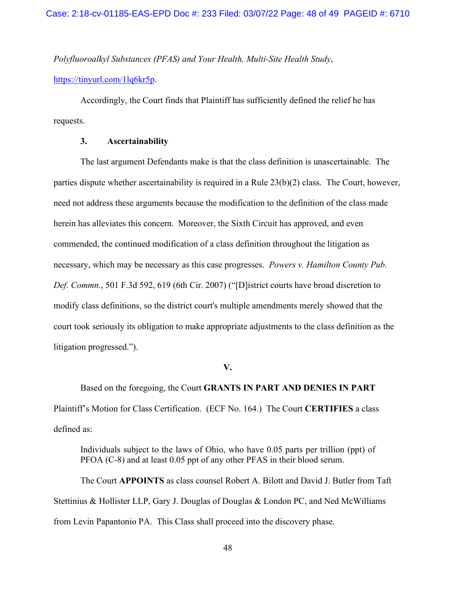*Polyfluoroalkyl Substances (PFAS) and Your Health, Multi-Site Health Study*,

[https://tinyurl.com/1lq6kr5p.](https://tinyurl.com/1lq6kr5p)

Accordingly, the Court finds that Plaintiff has sufficiently defined the relief he has requests.

### **3. Ascertainability**

The last argument Defendants make is that the class definition is unascertainable. The parties dispute whether ascertainability is required in a Rule 23(b)(2) class. The Court, however, need not address these arguments because the modification to the definition of the class made herein has alleviates this concern. Moreover, the Sixth Circuit has approved, and even commended, the continued modification of a class definition throughout the litigation as necessary, which may be necessary as this case progresses. *Powers v. Hamilton County Pub. Def. Commn.*, 501 F.3d 592, 619 (6th Cir. 2007) ("[D]istrict courts have broad discretion to modify class definitions, so the district court's multiple amendments merely showed that the court took seriously its obligation to make appropriate adjustments to the class definition as the litigation progressed.").

#### **V.**

Based on the foregoing, the Court **GRANTS IN PART AND DENIES IN PART** Plaintiff's Motion for Class Certification. (ECF No. 164.) The Court **CERTIFIES** a class defined as:

Individuals subject to the laws of Ohio, who have 0.05 parts per trillion (ppt) of PFOA (C-8) and at least 0.05 ppt of any other PFAS in their blood serum.

The Court **APPOINTS** as class counsel Robert A. Bilott and David J. Butler from Taft Stettinius & Hollister LLP, Gary J. Douglas of Douglas & London PC, and Ned McWilliams from Levin Papantonio PA. This Class shall proceed into the discovery phase.